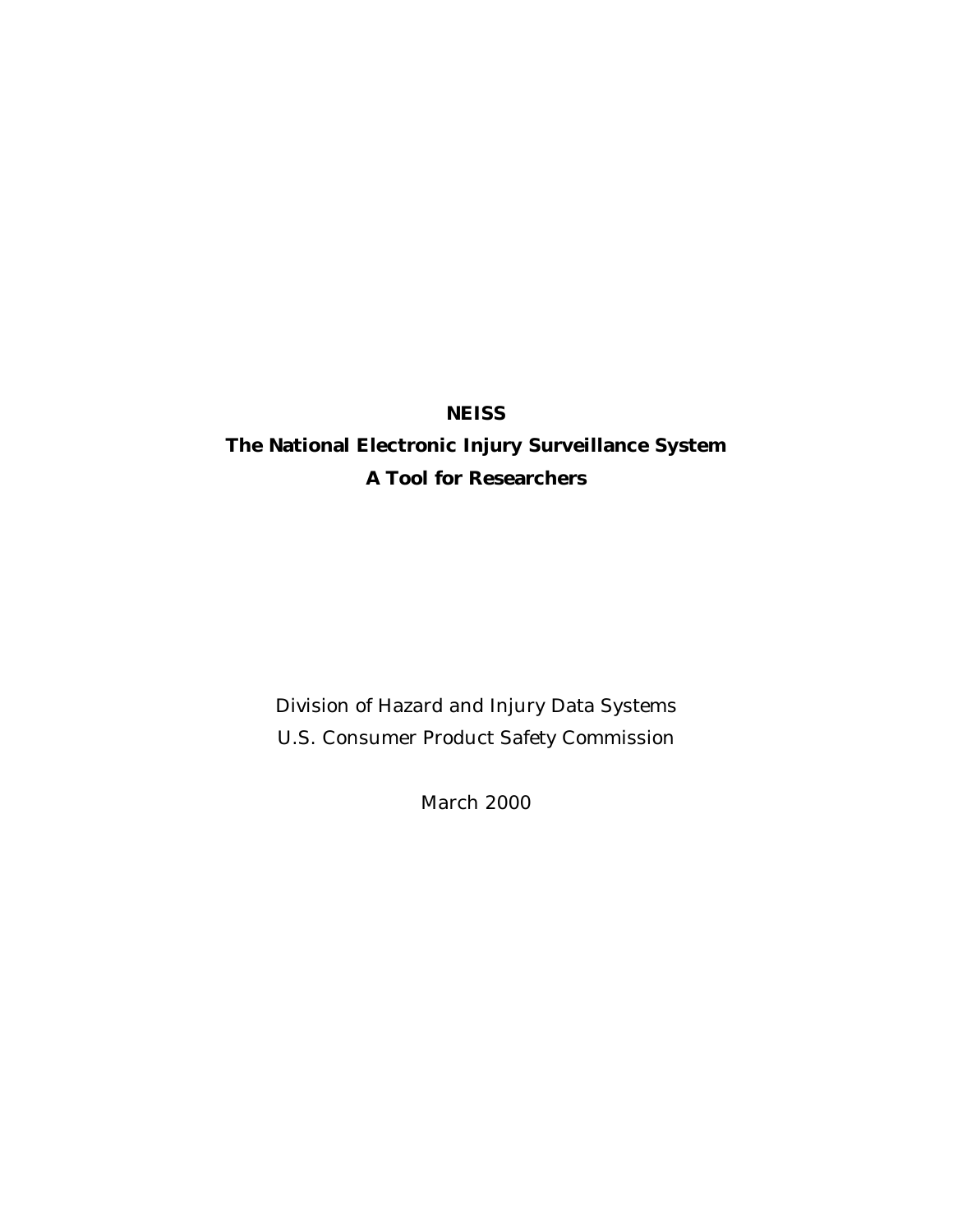## **NEISS**

# **The National Electronic Injury Surveillance System A Tool for Researchers**

Division of Hazard and Injury Data Systems U.S. Consumer Product Safety Commission

March 2000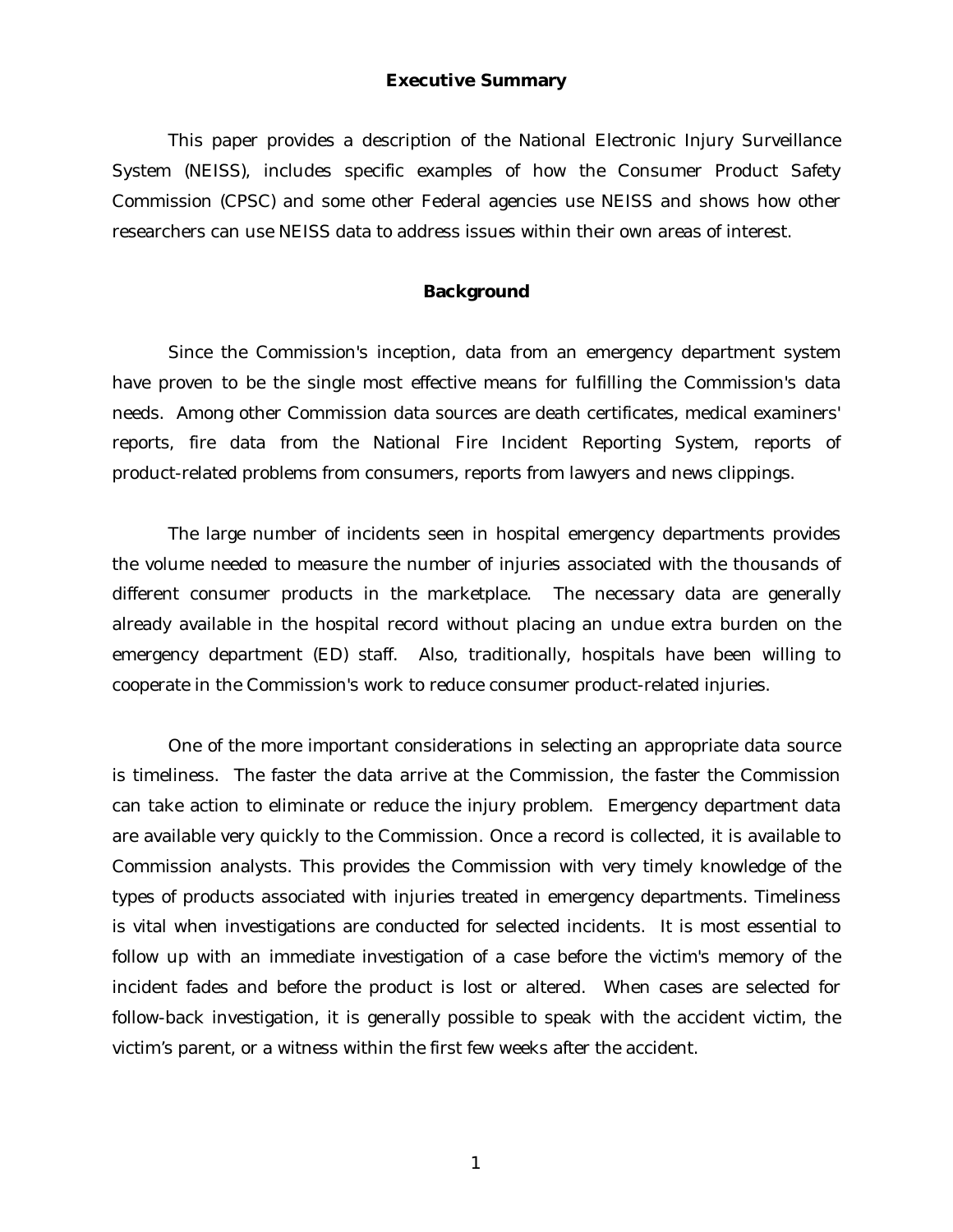#### **Executive Summary**

This paper provides a description of the National Electronic Injury Surveillance System (NEISS), includes specific examples of how the Consumer Product Safety Commission (CPSC) and some other Federal agencies use NEISS and shows how other researchers can use NEISS data to address issues within their own areas of interest.

## **Background**

Since the Commission's inception, data from an emergency department system have proven to be the single most effective means for fulfilling the Commission's data needs. Among other Commission data sources are death certificates, medical examiners' reports, fire data from the National Fire Incident Reporting System, reports of product-related problems from consumers, reports from lawyers and news clippings.

The large number of incidents seen in hospital emergency departments provides the volume needed to measure the number of injuries associated with the thousands of different consumer products in the marketplace. The necessary data are generally already available in the hospital record without placing an undue extra burden on the emergency department (ED) staff. Also, traditionally, hospitals have been willing to cooperate in the Commission's work to reduce consumer product-related injuries.

One of the more important considerations in selecting an appropriate data source is timeliness. The faster the data arrive at the Commission, the faster the Commission can take action to eliminate or reduce the injury problem. Emergency department data are available very quickly to the Commission. Once a record is collected, it is available to Commission analysts. This provides the Commission with very timely knowledge of the types of products associated with injuries treated in emergency departments. Timeliness is vital when investigations are conducted for selected incidents. It is most essential to follow up with an immediate investigation of a case before the victim's memory of the incident fades and before the product is lost or altered. When cases are selected for follow-back investigation, it is generally possible to speak with the accident victim, the victim's parent, or a witness within the first few weeks after the accident.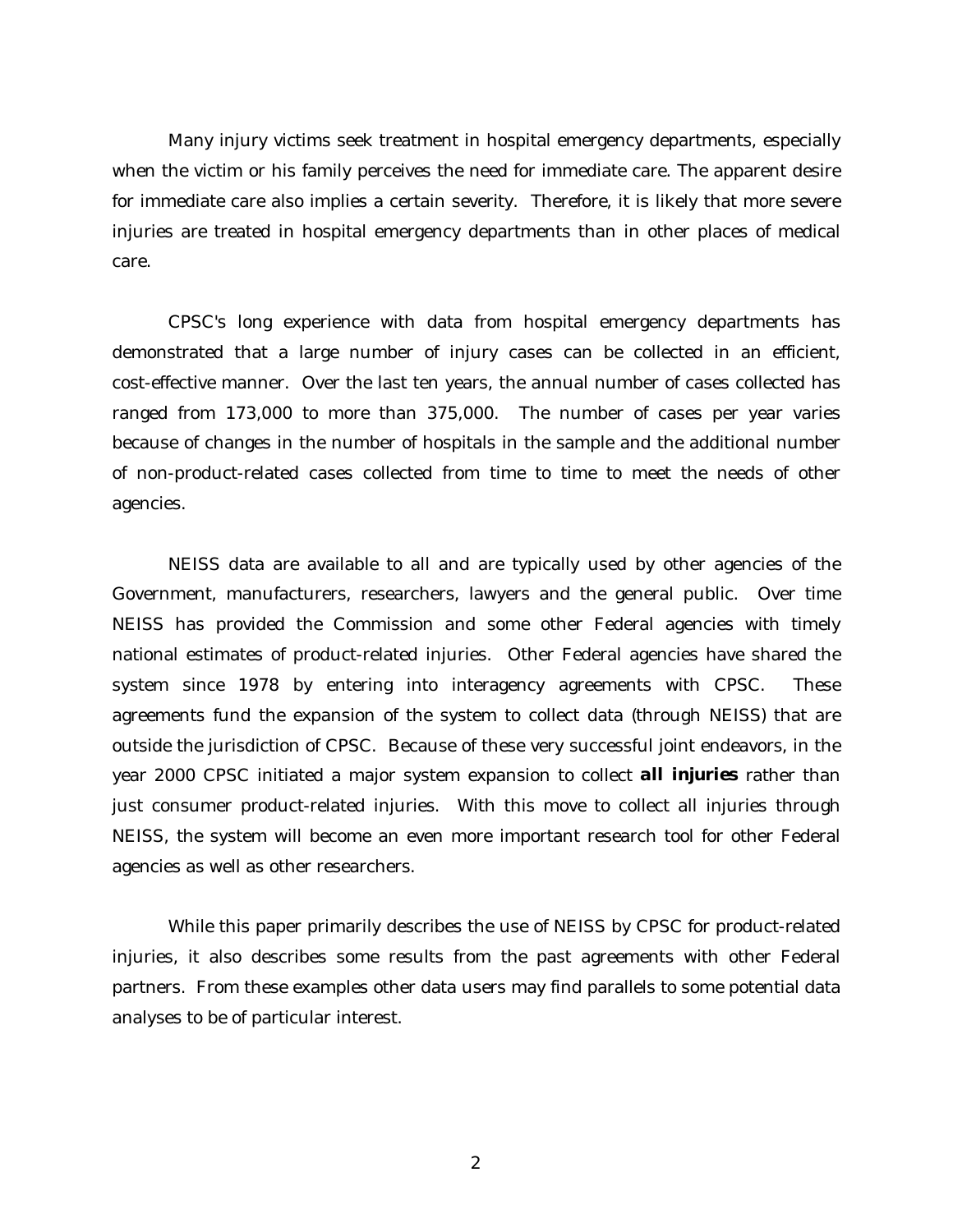Many injury victims seek treatment in hospital emergency departments, especially when the victim or his family perceives the need for immediate care. The apparent desire for immediate care also implies a certain severity. Therefore, it is likely that more severe injuries are treated in hospital emergency departments than in other places of medical care.

CPSC's long experience with data from hospital emergency departments has demonstrated that a large number of injury cases can be collected in an efficient, cost-effective manner. Over the last ten years, the annual number of cases collected has ranged from 173,000 to more than 375,000. The number of cases per year varies because of changes in the number of hospitals in the sample and the additional number of non-product-related cases collected from time to time to meet the needs of other agencies.

NEISS data are available to all and are typically used by other agencies of the Government, manufacturers, researchers, lawyers and the general public. Over time NEISS has provided the Commission and some other Federal agencies with timely national estimates of product-related injuries. Other Federal agencies have shared the system since 1978 by entering into interagency agreements with CPSC. These agreements fund the expansion of the system to collect data (through NEISS) that are outside the jurisdiction of CPSC. Because of these very successful joint endeavors, in the year 2000 CPSC initiated a major system expansion to collect *all injuries* rather than just consumer product-related injuries. With this move to collect all injuries through NEISS, the system will become an even more important research tool for other Federal agencies as well as other researchers.

While this paper primarily describes the use of NEISS by CPSC for product-related injuries, it also describes some results from the past agreements with other Federal partners. From these examples other data users may find parallels to some potential data analyses to be of particular interest.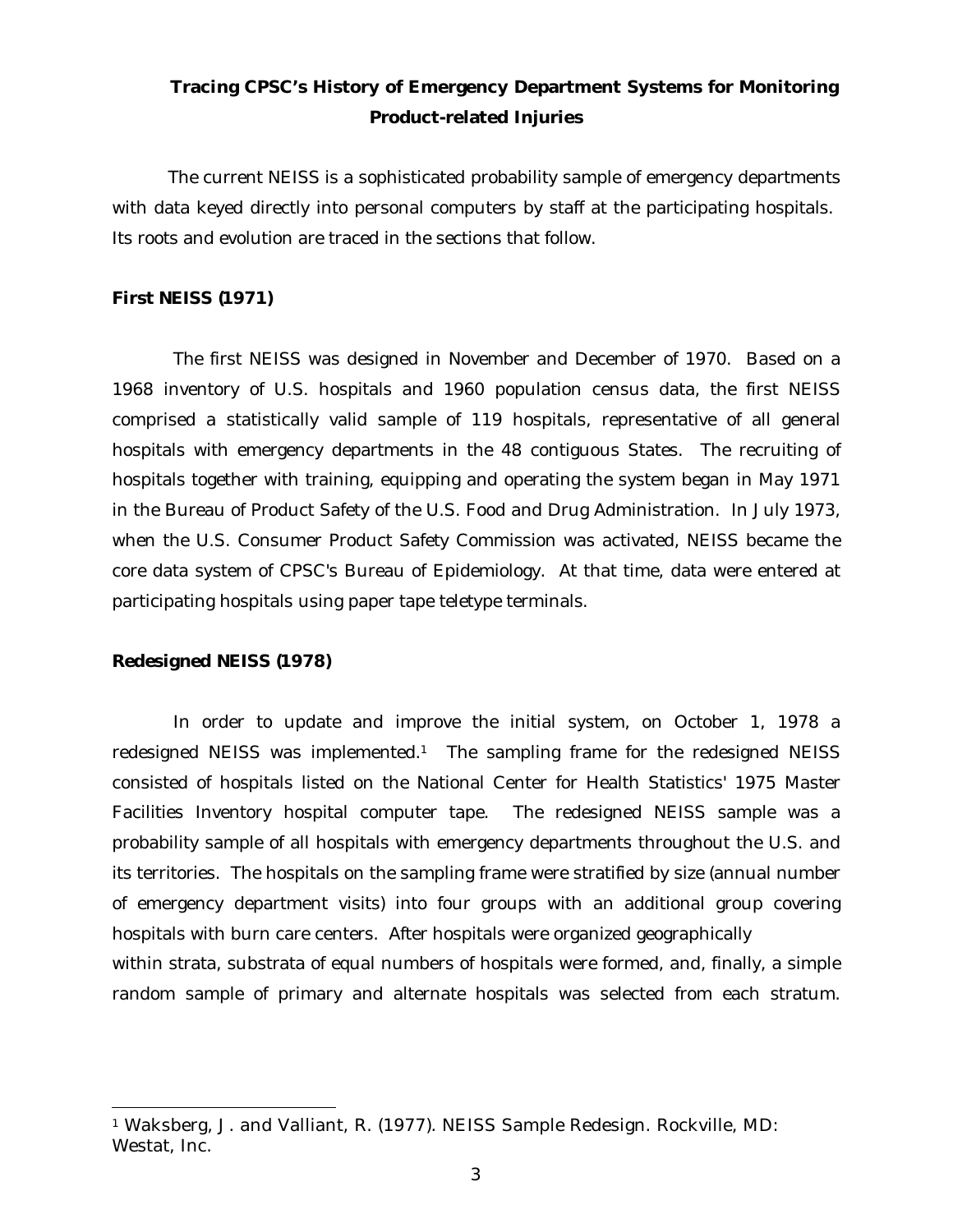## **Tracing CPSC's History of Emergency Department Systems for Monitoring Product-related Injuries**

The current NEISS is a sophisticated probability sample of emergency departments with data keyed directly into personal computers by staff at the participating hospitals. Its roots and evolution are traced in the sections that follow.

## *First NEISS (1971)*

 The first NEISS was designed in November and December of 1970. Based on a 1968 inventory of U.S. hospitals and 1960 population census data, the first NEISS comprised a statistically valid sample of 119 hospitals, representative of all general hospitals with emergency departments in the 48 contiguous States. The recruiting of hospitals together with training, equipping and operating the system began in May 1971 in the Bureau of Product Safety of the U.S. Food and Drug Administration. In July 1973, when the U.S. Consumer Product Safety Commission was activated, NEISS became the core data system of CPSC's Bureau of Epidemiology. At that time, data were entered at participating hospitals using paper tape teletype terminals.

#### *Redesigned NEISS (1978)*

j

 In order to update and improve the initial system, on October 1, 1978 a redesigned NEISS was implemented.<sup>1</sup> The sampling frame for the redesigned NEISS consisted of hospitals listed on the National Center for Health Statistics' 1975 Master Facilities Inventory hospital computer tape. The redesigned NEISS sample was a probability sample of all hospitals with emergency departments throughout the U.S. and its territories. The hospitals on the sampling frame were stratified by size (annual number of emergency department visits) into four groups with an additional group covering hospitals with burn care centers. After hospitals were organized geographically within strata, substrata of equal numbers of hospitals were formed, and, finally, a simple random sample of primary and alternate hospitals was selected from each stratum.

<sup>1</sup> Waksberg, J. and Valliant, R. (1977). NEISS Sample Redesign. Rockville, MD: Westat, Inc.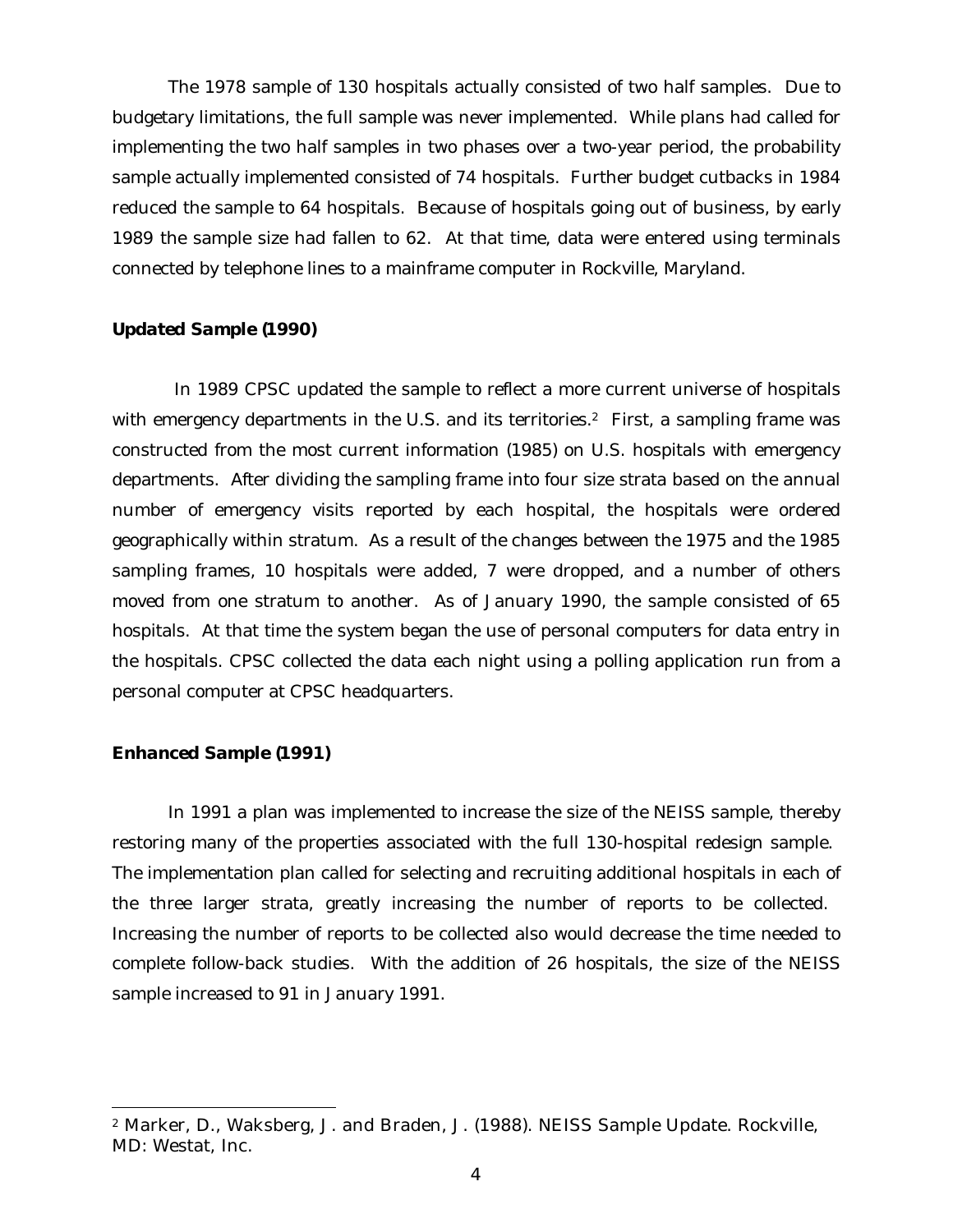The 1978 sample of 130 hospitals actually consisted of two half samples. Due to budgetary limitations, the full sample was never implemented. While plans had called for implementing the two half samples in two phases over a two-year period, the probability sample actually implemented consisted of 74 hospitals. Further budget cutbacks in 1984 reduced the sample to 64 hospitals. Because of hospitals going out of business, by early 1989 the sample size had fallen to 62. At that time, data were entered using terminals connected by telephone lines to a mainframe computer in Rockville, Maryland.

## *Updated Sample (1990)*

 In 1989 CPSC updated the sample to reflect a more current universe of hospitals with emergency departments in the U.S. and its territories.<sup>2</sup> First, a sampling frame was constructed from the most current information (1985) on U.S. hospitals with emergency departments. After dividing the sampling frame into four size strata based on the annual number of emergency visits reported by each hospital, the hospitals were ordered geographically within stratum. As a result of the changes between the 1975 and the 1985 sampling frames, 10 hospitals were added, 7 were dropped, and a number of others moved from one stratum to another. As of January 1990, the sample consisted of 65 hospitals. At that time the system began the use of personal computers for data entry in the hospitals. CPSC collected the data each night using a polling application run from a personal computer at CPSC headquarters.

## *Enhanced Sample (1991)*

j

In 1991 a plan was implemented to increase the size of the NEISS sample, thereby restoring many of the properties associated with the full 130-hospital redesign sample. The implementation plan called for selecting and recruiting additional hospitals in each of the three larger strata, greatly increasing the number of reports to be collected. Increasing the number of reports to be collected also would decrease the time needed to complete follow-back studies. With the addition of 26 hospitals, the size of the NEISS sample increased to 91 in January 1991.

<sup>2</sup> Marker, D., Waksberg, J. and Braden, J. (1988). NEISS Sample Update. Rockville, MD: Westat, Inc.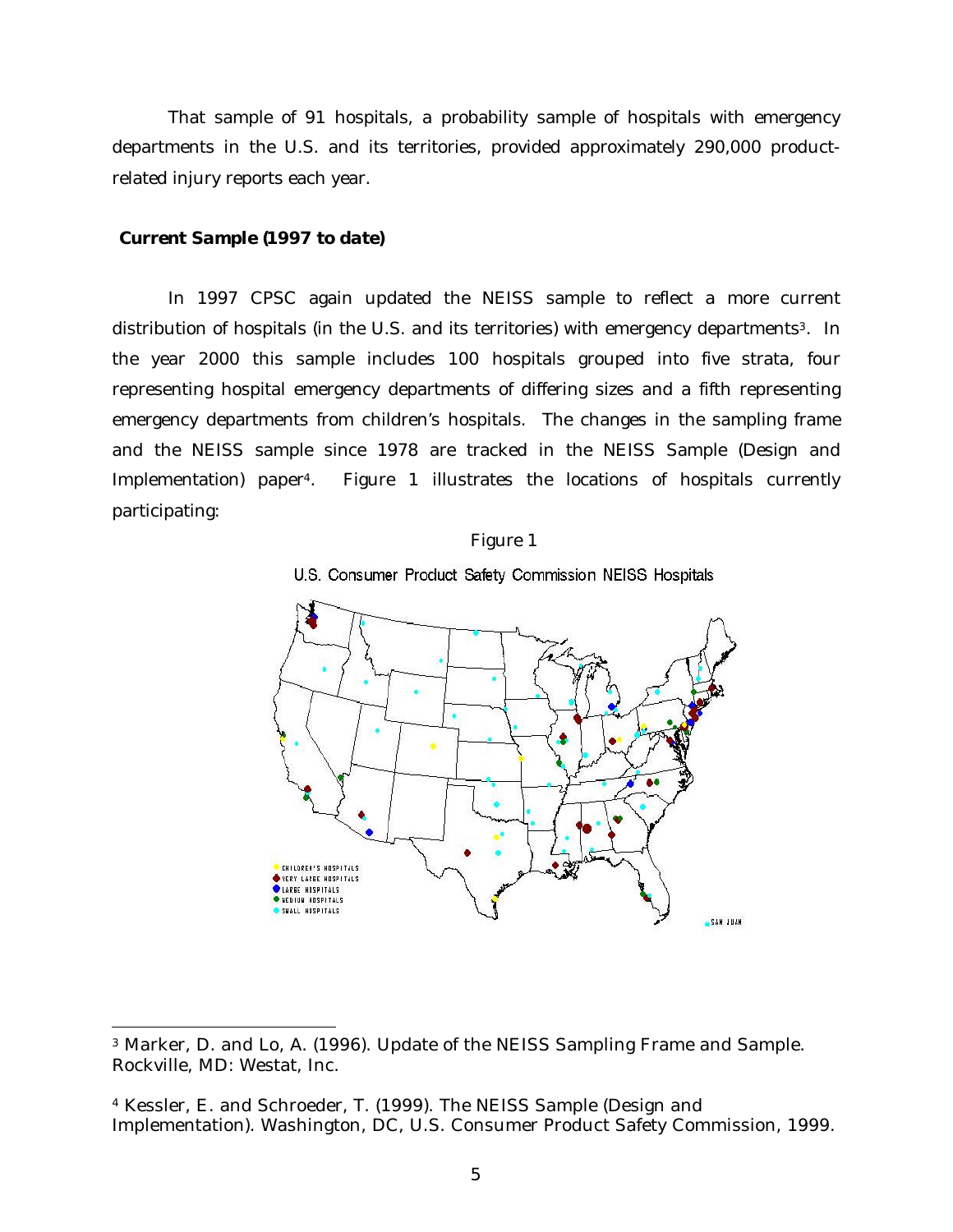That sample of 91 hospitals, a probability sample of hospitals with emergency departments in the U.S. and its territories, provided approximately 290,000 productrelated injury reports each year.

#### *Current Sample (1997 to date)*

1

In 1997 CPSC again updated the NEISS sample to reflect a more current distribution of hospitals (in the U.S. and its territories) with emergency departments<sup>3</sup>. In the year 2000 this sample includes 100 hospitals grouped into five strata, four representing hospital emergency departments of differing sizes and a fifth representing emergency departments from children's hospitals. The changes in the sampling frame and the NEISS sample since 1978 are tracked in the NEISS Sample (Design and Implementation) paper4. Figure 1 illustrates the locations of hospitals currently participating:

#### Figure 1





<sup>3</sup> Marker, D. and Lo, A. (1996). Update of the NEISS Sampling Frame and Sample. Rockville, MD: Westat, Inc.

<sup>4</sup> Kessler, E. and Schroeder, T. (1999). The NEISS Sample (Design and Implementation). Washington, DC, U.S. Consumer Product Safety Commission, 1999.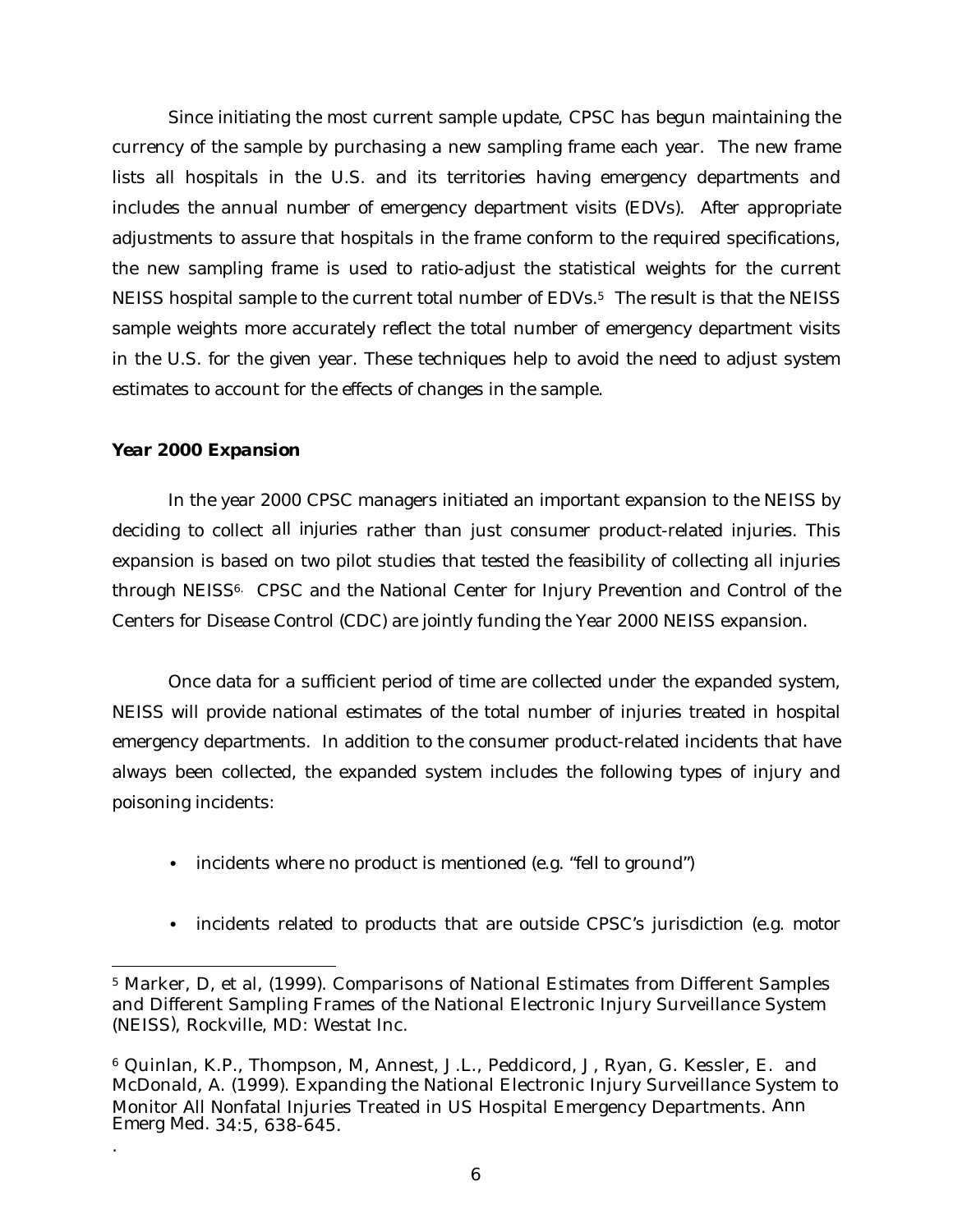Since initiating the most current sample update, CPSC has begun maintaining the currency of the sample by purchasing a new sampling frame each year. The new frame lists all hospitals in the U.S. and its territories having emergency departments and includes the annual number of emergency department visits (EDVs). After appropriate adjustments to assure that hospitals in the frame conform to the required specifications, the new sampling frame is used to ratio-adjust the statistical weights for the current NEISS hospital sample to the current total number of EDVs.<sup>5</sup> The result is that the NEISS sample weights more accurately reflect the total number of emergency department visits in the U.S. for the given year. These techniques help to avoid the need to adjust system estimates to account for the effects of changes in the sample.

## *Year 2000 Expansion*

j

.

In the year 2000 CPSC managers initiated an important expansion to the NEISS by deciding to collect *all injuries* rather than just consumer product-related injuries. This expansion is based on two pilot studies that tested the feasibility of collecting all injuries through NEISS6. CPSC and the National Center for Injury Prevention and Control of the Centers for Disease Control (CDC) are jointly funding the Year 2000 NEISS expansion.

Once data for a sufficient period of time are collected under the expanded system, NEISS will provide national estimates of the total number of injuries treated in hospital emergency departments. In addition to the consumer product-related incidents that have always been collected, the expanded system includes the following types of injury and poisoning incidents:

- incidents where no product is mentioned (e.g. "fell to ground")
- incidents related to products that are outside CPSC's jurisdiction (e.g. motor

<sup>5</sup> Marker, D, et al, (1999). Comparisons of National Estimates from Different Samples and Different Sampling Frames of the National Electronic Injury Surveillance System (NEISS*)*, Rockville, MD: Westat Inc.

<sup>6</sup> Quinlan, K.P., Thompson, M, Annest, J.L., Peddicord, J, Ryan, G. Kessler, E. and McDonald, A. (1999). Expanding the National Electronic Injury Surveillance System to Monitor All Nonfatal Injuries Treated in US Hospital Emergency Departments. *Ann Emerg Med.* 34:5, 638-645.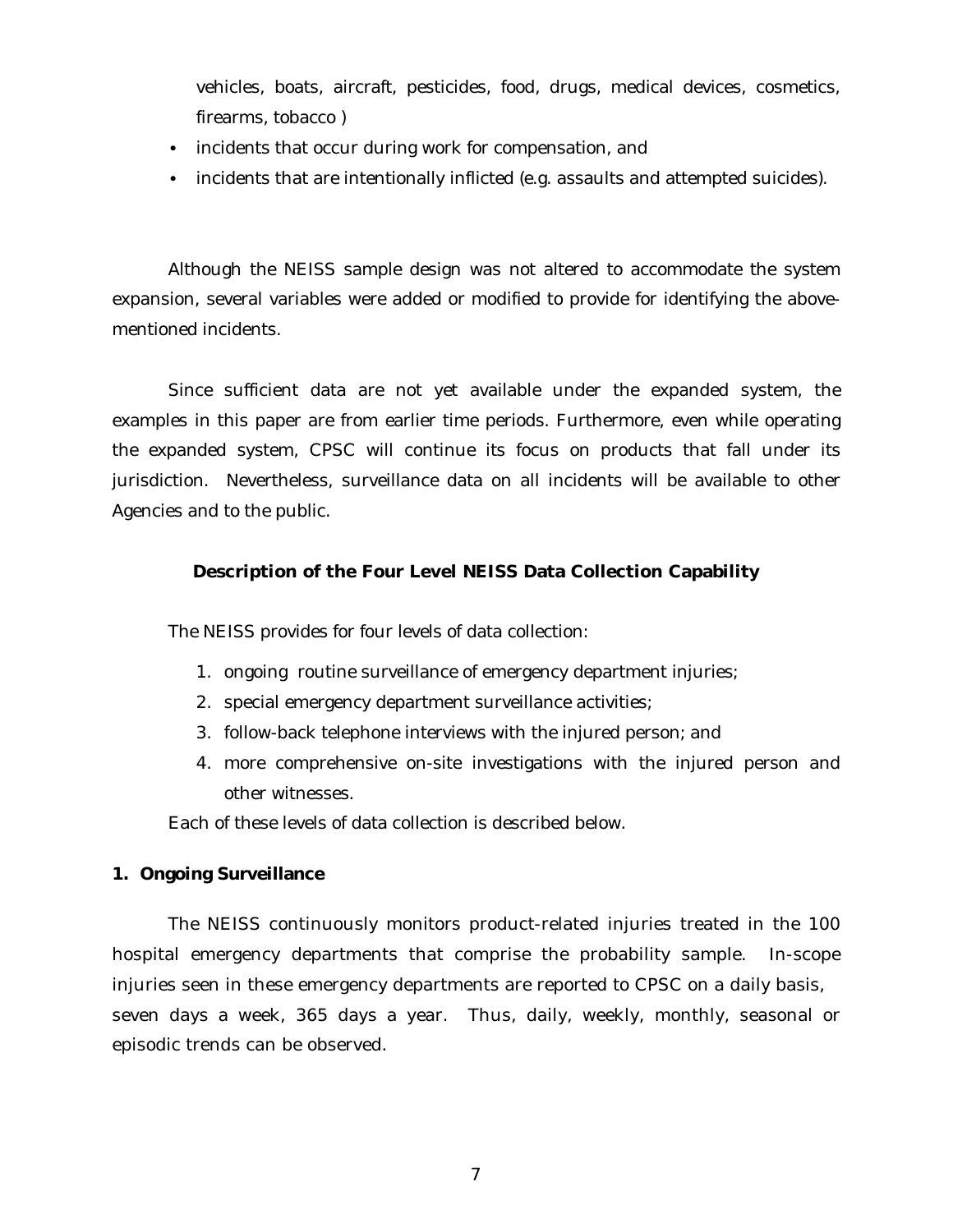vehicles, boats, aircraft, pesticides, food, drugs, medical devices, cosmetics, firearms, tobacco )

- incidents that occur during work for compensation, and
- incidents that are intentionally inflicted (e.g. assaults and attempted suicides).

Although the NEISS sample design was not altered to accommodate the system expansion, several variables were added or modified to provide for identifying the abovementioned incidents.

Since sufficient data are not yet available under the expanded system, the examples in this paper are from earlier time periods. Furthermore, even while operating the expanded system, CPSC will continue its focus on products that fall under its jurisdiction. Nevertheless, surveillance data on all incidents will be available to other Agencies and to the public.

## **Description of the Four Level NEISS Data Collection Capability**

The NEISS provides for four levels of data collection:

- 1. ongoing routine surveillance of emergency department injuries;
- 2. special emergency department surveillance activities;
- 3. follow-back telephone interviews with the injured person; and
- 4. more comprehensive on-site investigations with the injured person and other witnesses.

Each of these levels of data collection is described below.

## **1. Ongoing Surveillance**

 The NEISS continuously monitors product-related injuries treated in the 100 hospital emergency departments that comprise the probability sample. In-scope injuries seen in these emergency departments are reported to CPSC on a daily basis, seven days a week, 365 days a year. Thus, daily, weekly, monthly, seasonal or episodic trends can be observed.

7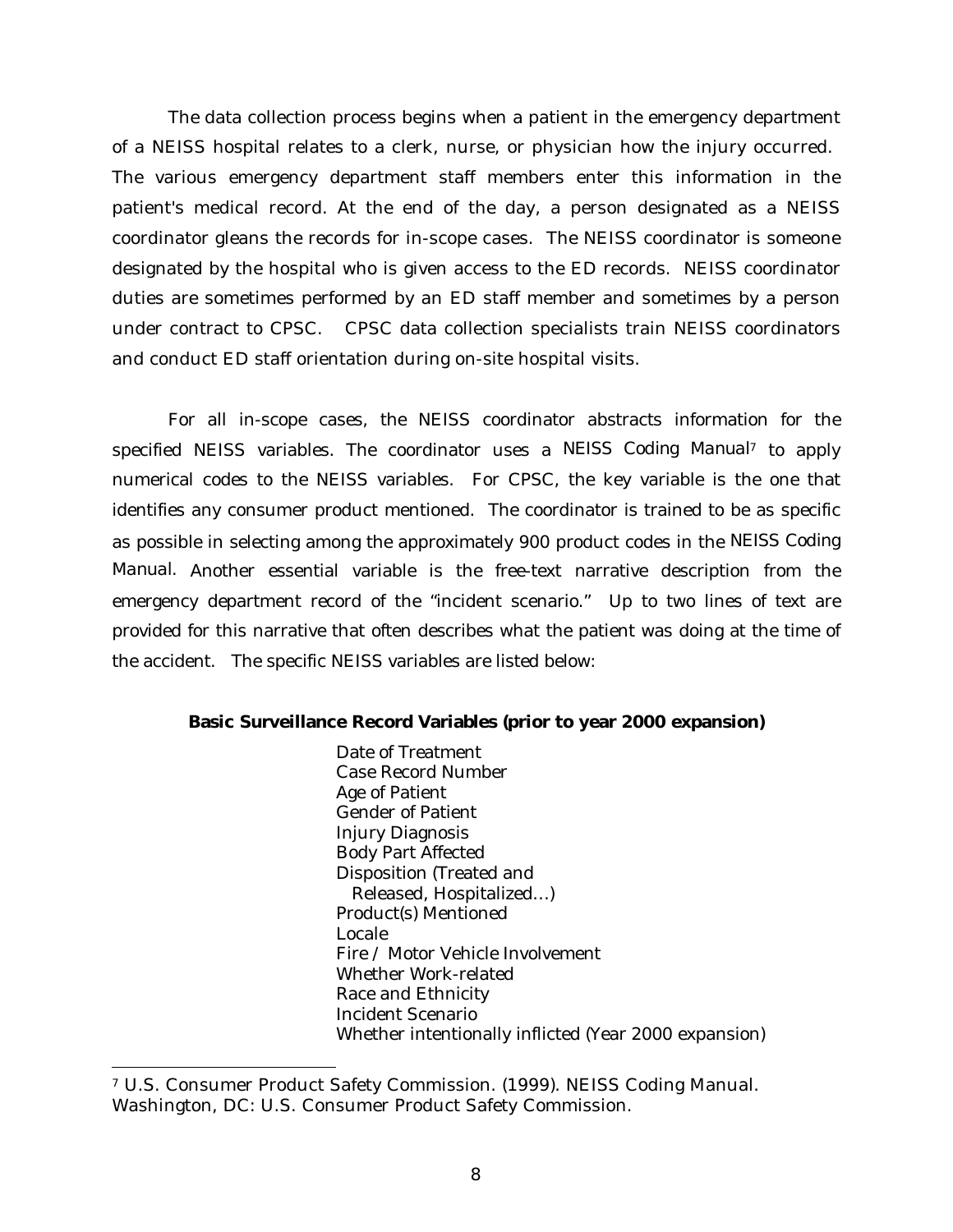The data collection process begins when a patient in the emergency department of a NEISS hospital relates to a clerk, nurse, or physician how the injury occurred. The various emergency department staff members enter this information in the patient's medical record. At the end of the day, a person designated as a NEISS coordinator gleans the records for in-scope cases. The NEISS coordinator is someone designated by the hospital who is given access to the ED records. NEISS coordinator duties are sometimes performed by an ED staff member and sometimes by a person under contract to CPSC. CPSC data collection specialists train NEISS coordinators and conduct ED staff orientation during on-site hospital visits.

For all in-scope cases, the NEISS coordinator abstracts information for the specified NEISS variables. The coordinator uses a *NEISS Coding Manual7* to apply numerical codes to the NEISS variables. For CPSC, the key variable is the one that identifies any consumer product mentioned. The coordinator is trained to be as specific as possible in selecting among the approximately 900 product codes in the *NEISS Coding Manual.* Another essential variable is the free-text narrative description from the emergency department record of the "incident scenario." Up to two lines of text are provided for this narrative that often describes what the patient was doing at the time of the accident. The specific NEISS variables are listed below:

#### **Basic Surveillance Record Variables (prior to year 2000 expansion)**

Date of Treatment Case Record Number Age of Patient Gender of Patient Injury Diagnosis Body Part Affected Disposition (Treated and Released, Hospitalized…) Product(s) Mentioned Locale Fire / Motor Vehicle Involvement Whether Work-related Race and Ethnicity Incident Scenario Whether intentionally inflicted (Year 2000 expansion)

1

<sup>7</sup> U.S. Consumer Product Safety Commission. (1999). NEISS Coding Manual. Washington, DC: U.S. Consumer Product Safety Commission.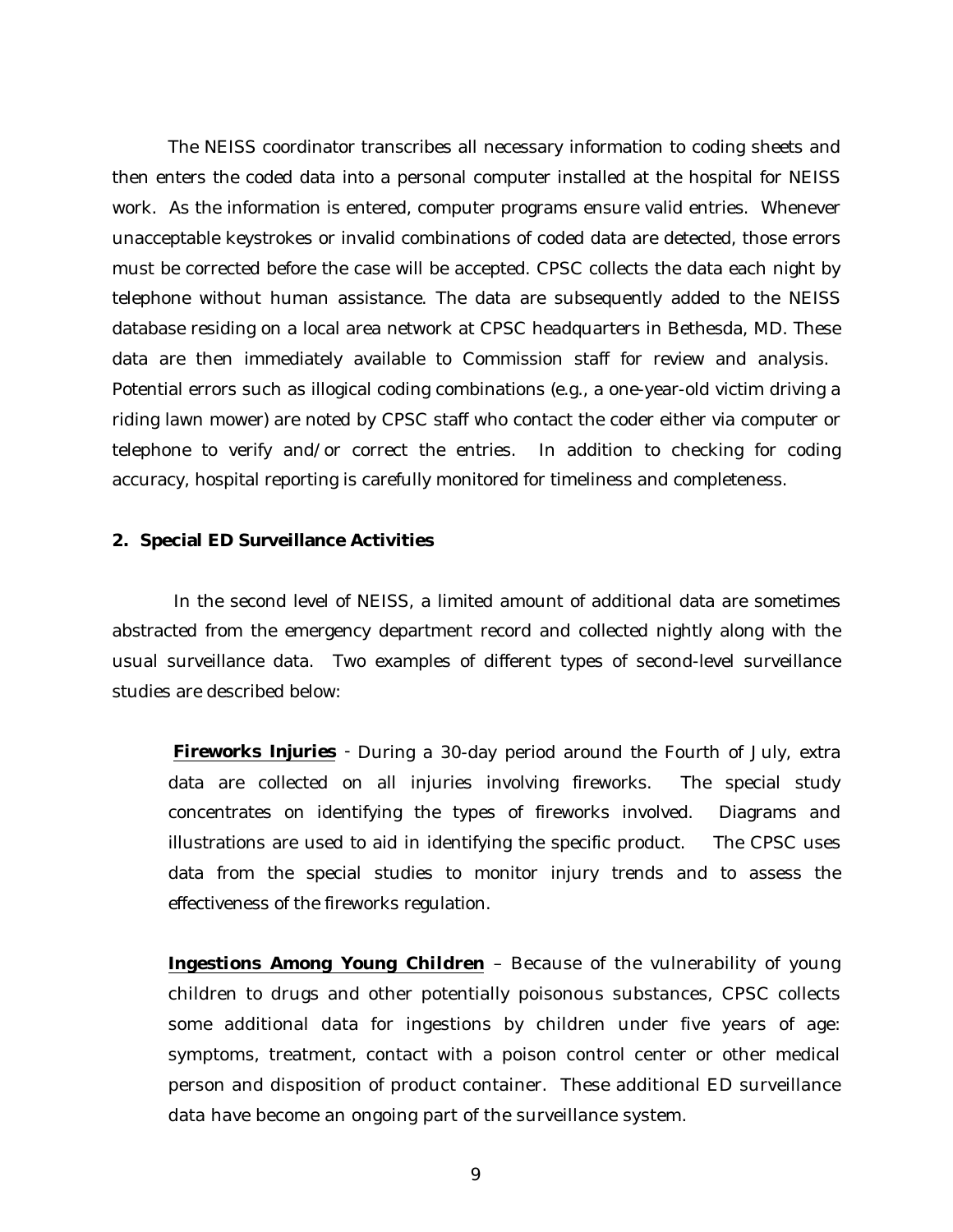The NEISS coordinator transcribes all necessary information to coding sheets and then enters the coded data into a personal computer installed at the hospital for NEISS work. As the information is entered, computer programs ensure valid entries. Whenever unacceptable keystrokes or invalid combinations of coded data are detected, those errors must be corrected before the case will be accepted. CPSC collects the data each night by telephone without human assistance. The data are subsequently added to the NEISS database residing on a local area network at CPSC headquarters in Bethesda, MD. These data are then immediately available to Commission staff for review and analysis. Potential errors such as illogical coding combinations (e.g., a one-year-old victim driving a riding lawn mower) are noted by CPSC staff who contact the coder either via computer or telephone to verify and/or correct the entries. In addition to checking for coding accuracy, hospital reporting is carefully monitored for timeliness and completeness.

#### **2. Special ED Surveillance Activities**

In the second level of NEISS, a limited amount of additional data are sometimes abstracted from the emergency department record and collected nightly along with the usual surveillance data. Two examples of different types of second-level surveillance studies are described below:

*Fireworks Injuries -* During a 30-day period around the Fourth of July, extra data are collected on all injuries involving fireworks. The special study concentrates on identifying the types of fireworks involved. Diagrams and illustrations are used to aid in identifying the specific product. The CPSC uses data from the special studies to monitor injury trends and to assess the effectiveness of the fireworks regulation.

*Ingestions Among Young Children* – Because of the vulnerability of young children to drugs and other potentially poisonous substances, CPSC collects some additional data for ingestions by children under five years of age: symptoms, treatment, contact with a poison control center or other medical person and disposition of product container. These additional ED surveillance data have become an ongoing part of the surveillance system.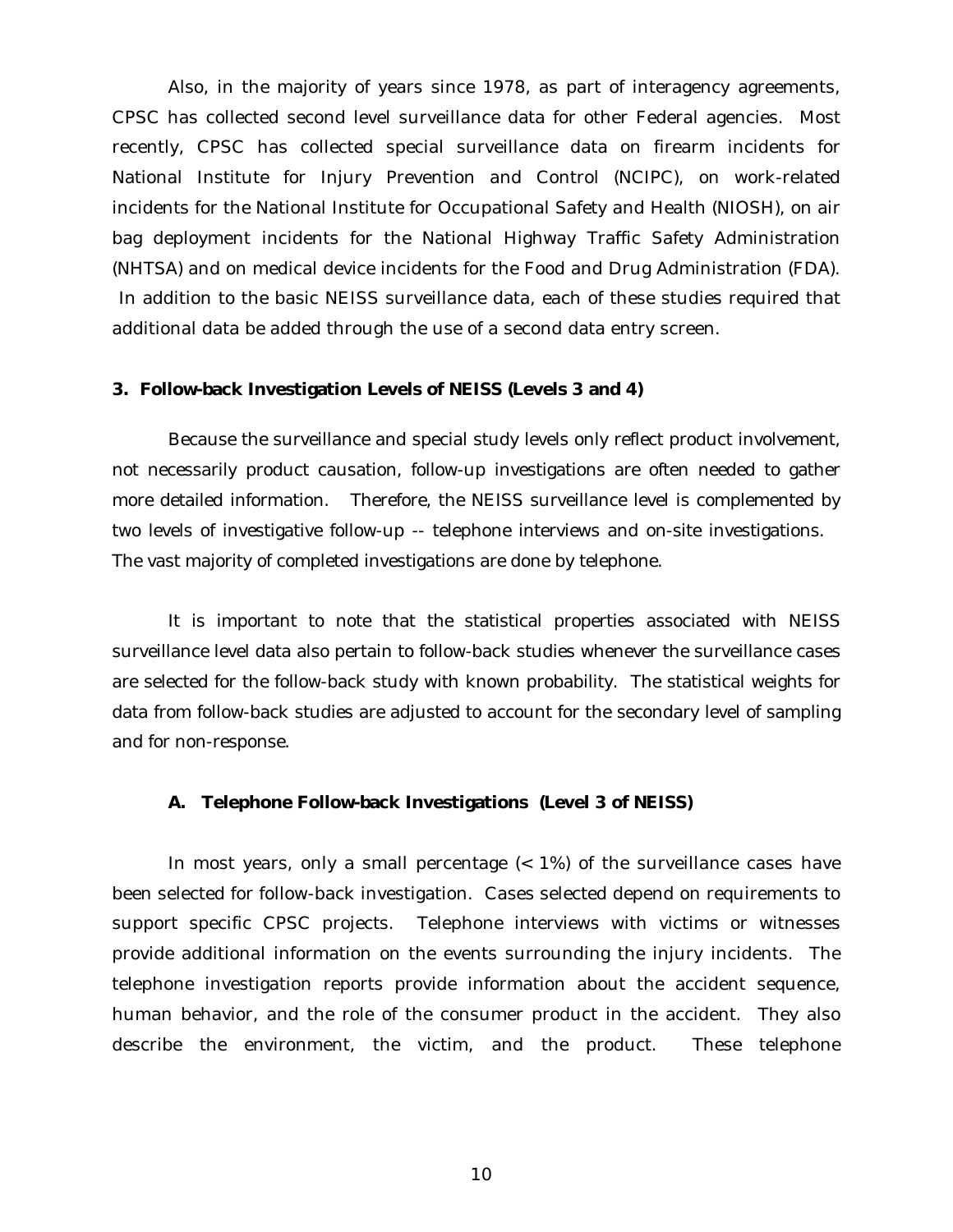Also, in the majority of years since 1978, as part of interagency agreements, CPSC has collected second level surveillance data for other Federal agencies. Most recently, CPSC has collected special surveillance data on firearm incidents for National Institute for Injury Prevention and Control (NCIPC), on work-related incidents for the National Institute for Occupational Safety and Health (NIOSH), on air bag deployment incidents for the National Highway Traffic Safety Administration (NHTSA) and on medical device incidents for the Food and Drug Administration (FDA). In addition to the basic NEISS surveillance data, each of these studies required that additional data be added through the use of a second data entry screen.

#### **3. Follow-back Investigation Levels of NEISS (Levels 3 and 4)**

Because the surveillance and special study levels only reflect product involvement, not necessarily product causation, follow-up investigations are often needed to gather more detailed information. Therefore, the NEISS surveillance level is complemented by two levels of investigative follow-up -- telephone interviews and on-site investigations. The vast majority of completed investigations are done by telephone.

It is important to note that the statistical properties associated with NEISS surveillance level data also pertain to follow-back studies whenever the surveillance cases are selected for the follow-back study with known probability. The statistical weights for data from follow-back studies are adjusted to account for the secondary level of sampling and for non-response.

#### **A. Telephone Follow-back Investigations (Level 3 of NEISS)**

In most years, only a small percentage  $($   $<$  1% $)$  of the surveillance cases have been selected for follow-back investigation. Cases selected depend on requirements to support specific CPSC projects. Telephone interviews with victims or witnesses provide additional information on the events surrounding the injury incidents. The telephone investigation reports provide information about the accident sequence, human behavior, and the role of the consumer product in the accident. They also describe the environment, the victim, and the product. These telephone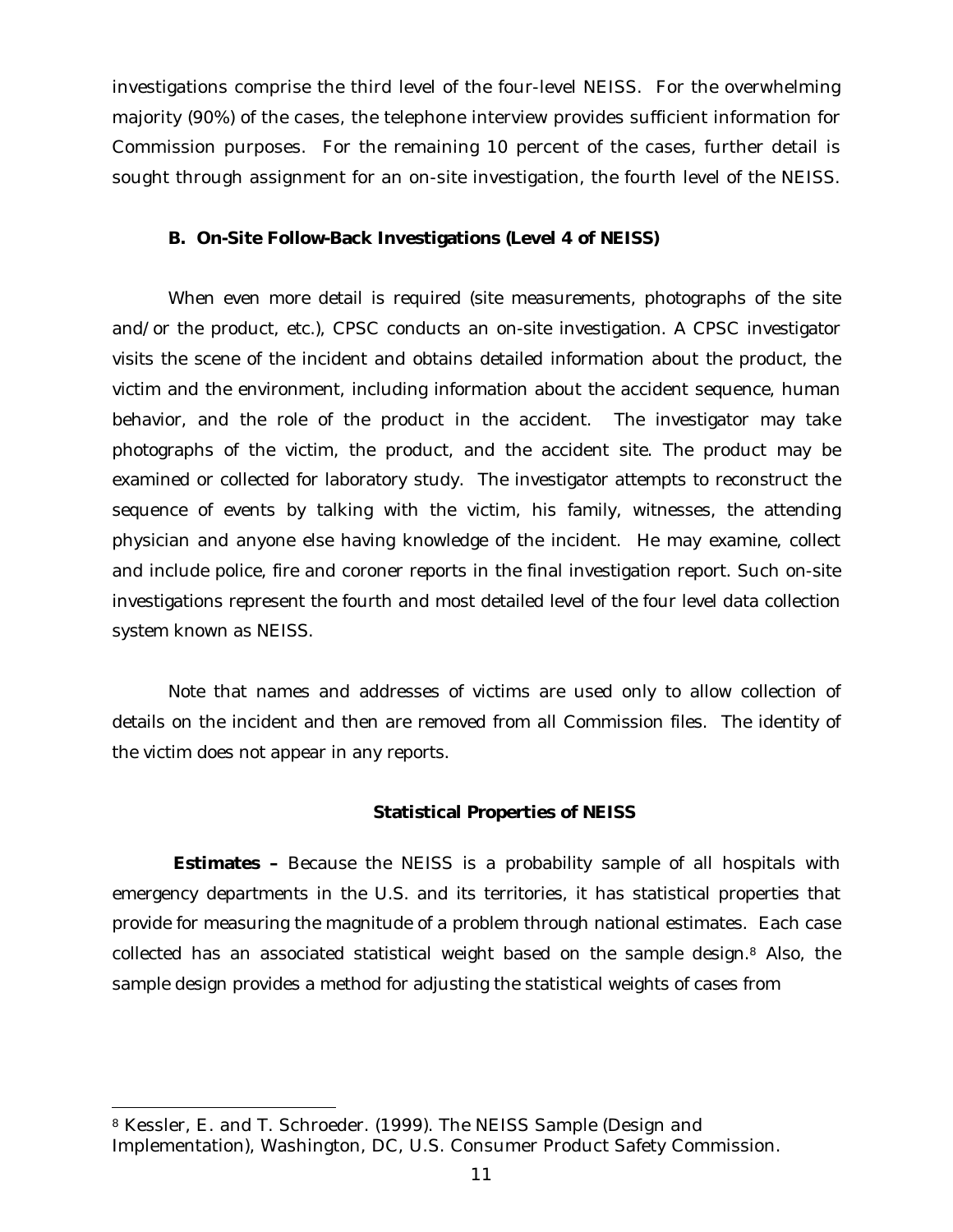investigations comprise the third level of the four-level NEISS. For the overwhelming majority (90%) of the cases, the telephone interview provides sufficient information for Commission purposes. For the remaining 10 percent of the cases, further detail is sought through assignment for an on-site investigation, the fourth level of the NEISS.

#### **B. On-Site Follow-Back Investigations (Level 4 of NEISS)**

When even more detail is required (site measurements, photographs of the site and/or the product, etc.), CPSC conducts an on-site investigation. A CPSC investigator visits the scene of the incident and obtains detailed information about the product, the victim and the environment, including information about the accident sequence, human behavior, and the role of the product in the accident. The investigator may take photographs of the victim, the product, and the accident site. The product may be examined or collected for laboratory study. The investigator attempts to reconstruct the sequence of events by talking with the victim, his family, witnesses, the attending physician and anyone else having knowledge of the incident. He may examine, collect and include police, fire and coroner reports in the final investigation report. Such on-site investigations represent the fourth and most detailed level of the four level data collection system known as NEISS.

Note that names and addresses of victims are used only to allow collection of details on the incident and then are removed from all Commission files. The identity of the victim does not appear in any reports.

#### **Statistical Properties of NEISS**

**Estimates –** Because the NEISS is a probability sample of all hospitals with emergency departments in the U.S. and its territories, it has statistical properties that provide for measuring the magnitude of a problem through national estimates. Each case collected has an associated statistical weight based on the sample design.8 Also, the sample design provides a method for adjusting the statistical weights of cases from

j

<sup>8</sup> Kessler, E. and T. Schroeder. (1999). The NEISS Sample (Design and Implementation), Washington, DC, U.S. Consumer Product Safety Commission.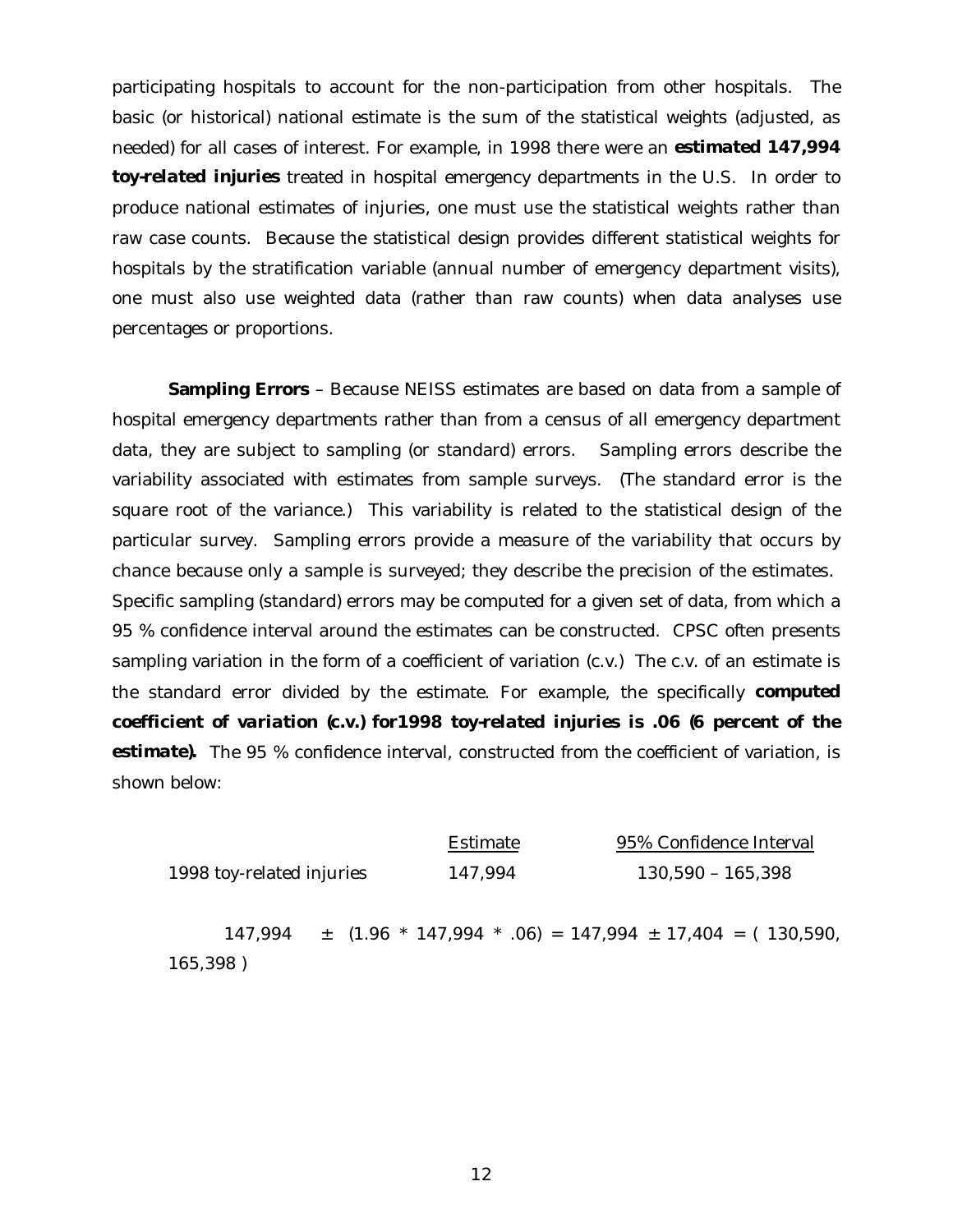participating hospitals to account for the non-participation from other hospitals. The basic (or historical) national estimate is the sum of the statistical weights (adjusted, as needed) for all cases of interest. For example, in 1998 there were an *estimated 147,994 toy-related injuries* treated in hospital emergency departments in the U.S. In order to produce national estimates of injuries, one must use the statistical weights rather than raw case counts. Because the statistical design provides different statistical weights for hospitals by the stratification variable (annual number of emergency department visits), one must also use weighted data (rather than raw counts) when data analyses use percentages or proportions.

**Sampling Errors** - Because NEISS estimates are based on data from a sample of hospital emergency departments rather than from a census of all emergency department data, they are subject to sampling (or standard) errors. Sampling errors describe the variability associated with estimates from sample surveys. (The standard error is the square root of the variance.) This variability is related to the statistical design of the particular survey. Sampling errors provide a measure of the variability that occurs by chance because only a sample is surveyed; they describe the precision of the estimates. Specific sampling (standard) errors may be computed for a given set of data, from which a 95 % confidence interval around the estimates can be constructed. CPSC often presents sampling variation in the form of a coefficient of variation (c.v.) The c.v. of an estimate is the standard error divided by the estimate. For example, the specifically *computed coefficient of variation (c.v.) for1998 toy-related injuries is .06 (6 percent of the* **estimate).** The 95 % confidence interval, constructed from the coefficient of variation, is shown below:

|                           |  |  |         | Estimate |  |                     | 95% Confidence Interval |  |  |                                                                 |  |
|---------------------------|--|--|---------|----------|--|---------------------|-------------------------|--|--|-----------------------------------------------------------------|--|
| 1998 toy-related injuries |  |  | 147,994 |          |  | $130,590 - 165,398$ |                         |  |  |                                                                 |  |
| 147.994                   |  |  |         |          |  |                     |                         |  |  | $\pm$ (1.96 * 147,994 * .06) = 147,994 $\pm$ 17,404 = (130,590, |  |
| 165,398)                  |  |  |         |          |  |                     |                         |  |  |                                                                 |  |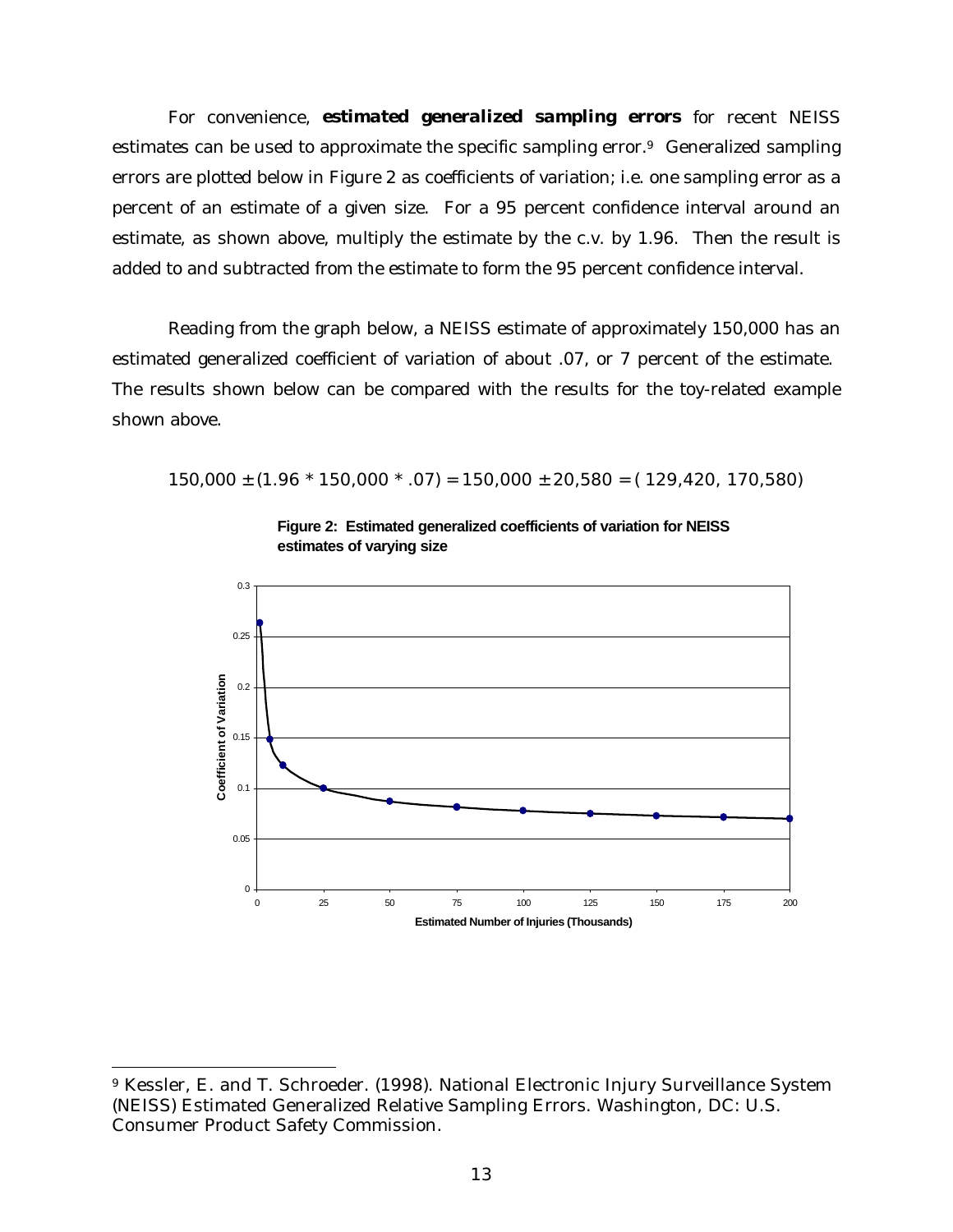For convenience, *estimated generalized sampling errors* for recent NEISS estimates can be used to approximate the specific sampling error.9 Generalized sampling errors are plotted below in Figure 2 as coefficients of variation; i.e. one sampling error as a percent of an estimate of a given size. For a 95 percent confidence interval around an estimate, as shown above, multiply the estimate by the c.v. by 1.96. Then the result is added to and subtracted from the estimate to form the 95 percent confidence interval.

Reading from the graph below, a NEISS estimate of approximately 150,000 has an estimated generalized coefficient of variation of about .07, or 7 percent of the estimate. The results shown below can be compared with the results for the toy-related example shown above.

 $150,000 \pm (1.96 * 150,000 * .07) = 150,000 \pm 20,580 = (129,420, 170,580)$ 





1

<sup>9</sup> Kessler, E. and T. Schroeder. (1998). National Electronic Injury Surveillance System (NEISS) Estimated Generalized Relative Sampling Errors. Washington, DC: U.S. Consumer Product Safety Commission.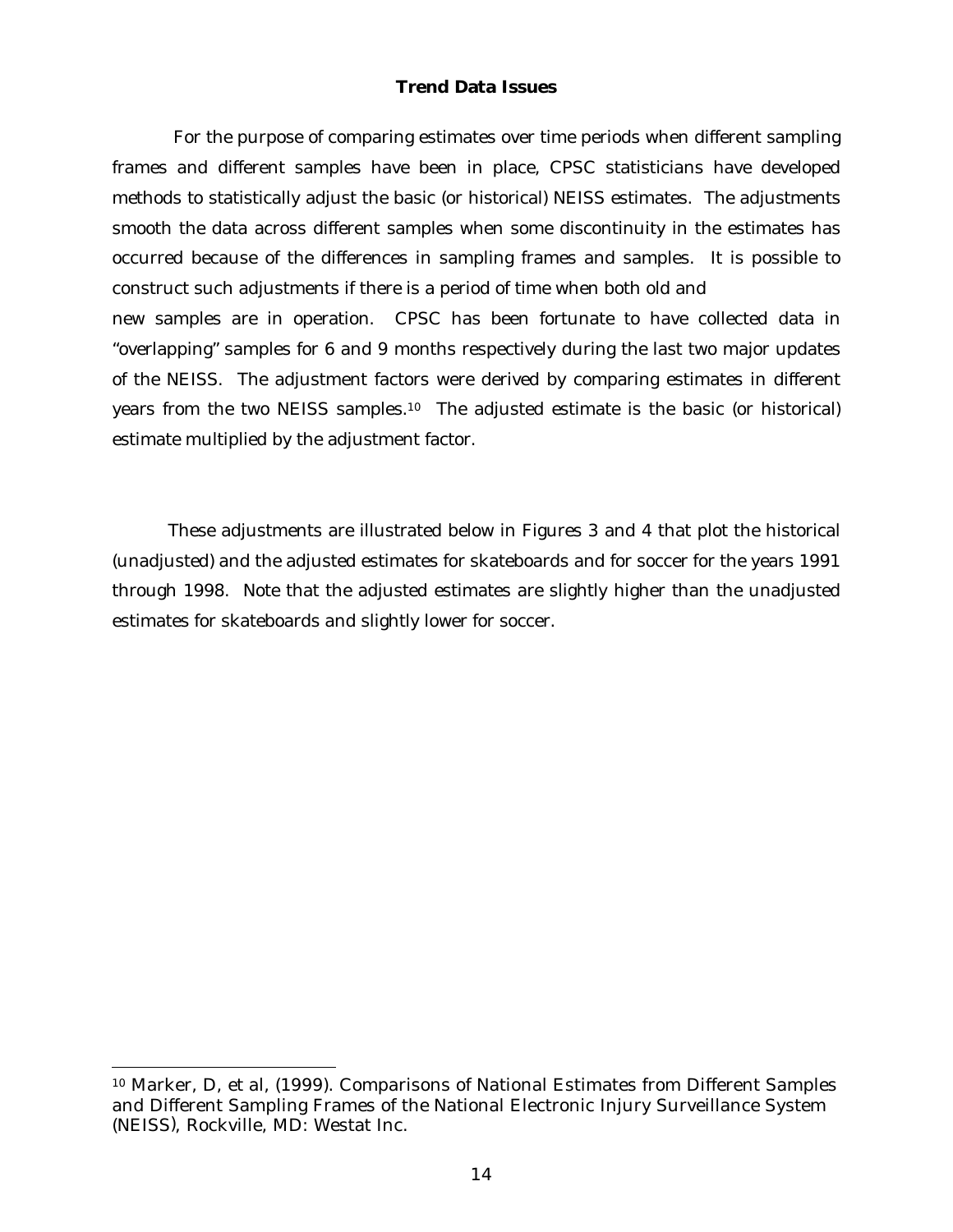## **Trend Data Issues**

 For the purpose of comparing estimates over time periods when different sampling frames and different samples have been in place, CPSC statisticians have developed methods to statistically adjust the basic (or historical) NEISS estimates. The adjustments smooth the data across different samples when some discontinuity in the estimates has occurred because of the differences in sampling frames and samples. It is possible to construct such adjustments if there is a period of time when both old and new samples are in operation. CPSC has been fortunate to have collected data in "overlapping" samples for 6 and 9 months respectively during the last two major updates of the NEISS. The adjustment factors were derived by comparing estimates in different years from the two NEISS samples.10 The adjusted estimate is the basic (or historical) estimate multiplied by the adjustment factor.

 These adjustments are illustrated below in Figures 3 and 4 that plot the historical (unadjusted) and the adjusted estimates for skateboards and for soccer for the years 1991 through 1998. Note that the adjusted estimates are slightly higher than the unadjusted estimates for skateboards and slightly lower for soccer.

1

<sup>10</sup> Marker, D, et al, (1999). Comparisons of National Estimates from Different Samples and Different Sampling Frames of the National Electronic Injury Surveillance System (NEISS*)*, Rockville, MD: Westat Inc.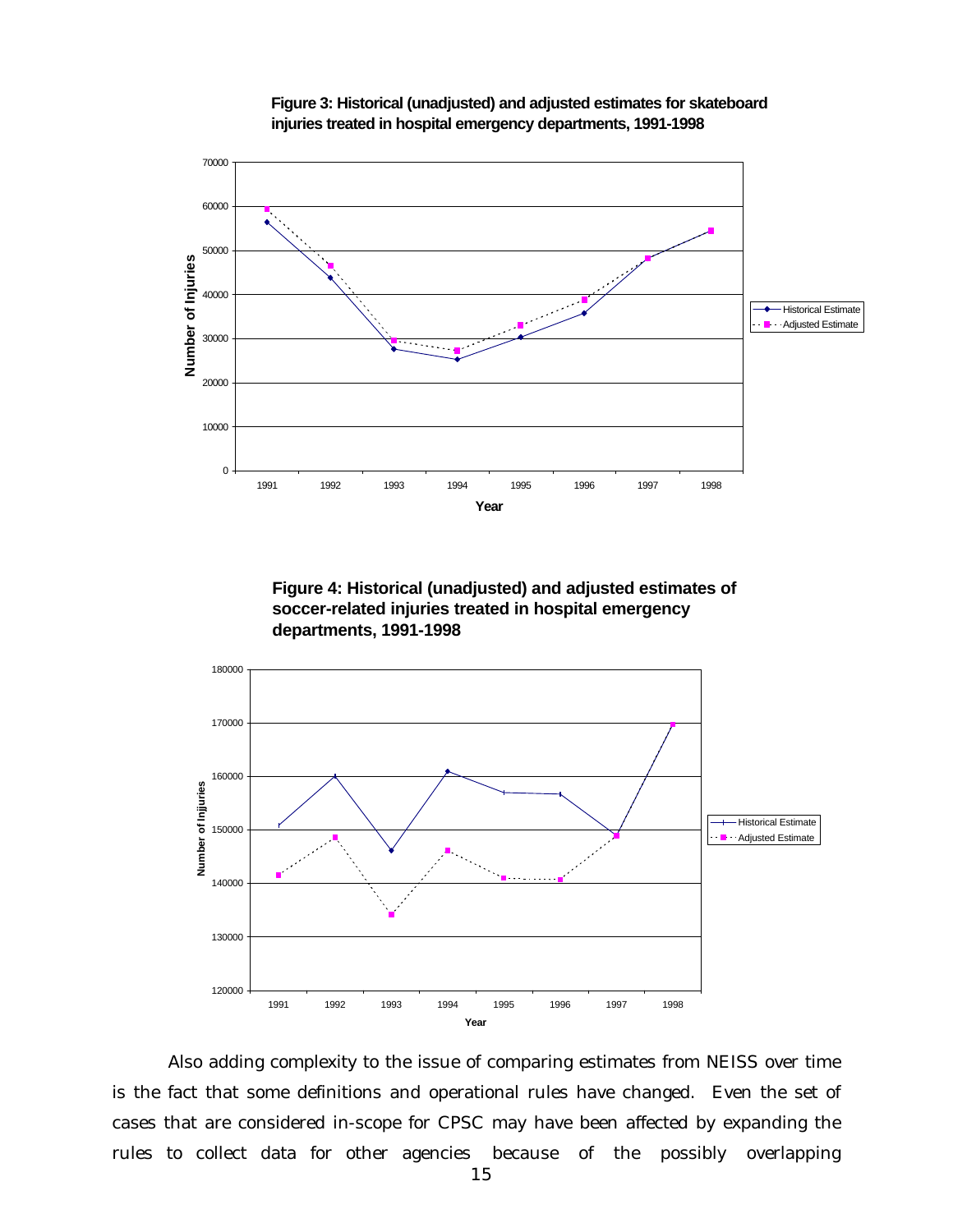







Also adding complexity to the issue of comparing estimates from NEISS over time is the fact that some definitions and operational rules have changed. Even the set of cases that are considered in-scope for CPSC may have been affected by expanding the rules to collect data for other agencies because of the possibly overlapping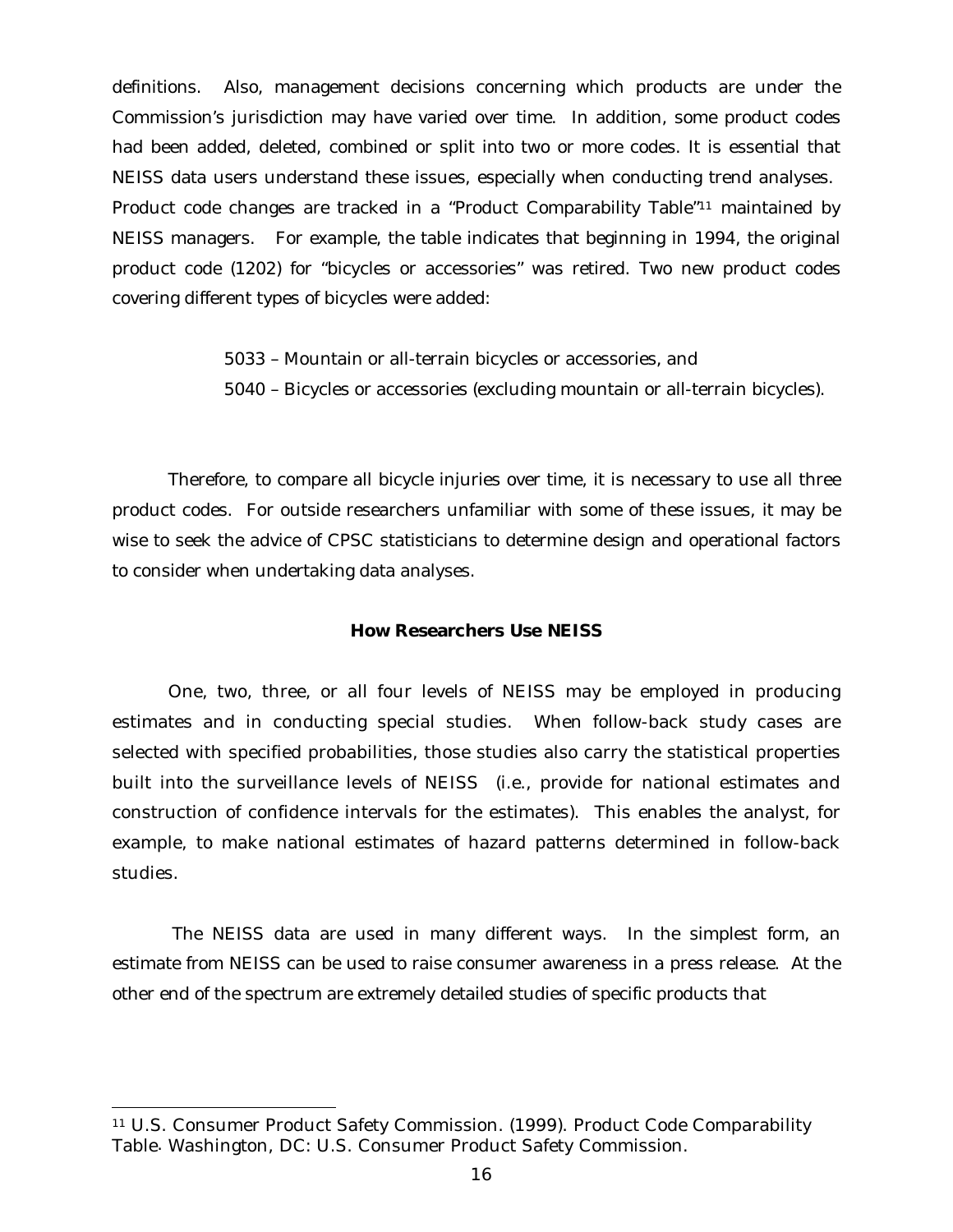definitions. Also, management decisions concerning which products are under the Commission's jurisdiction may have varied over time. In addition, some product codes had been added, deleted, combined or split into two or more codes. It is essential that NEISS data users understand these issues, especially when conducting trend analyses. Product code changes are tracked in a "Product Comparability Table"11 maintained by NEISS managers. For example, the table indicates that beginning in 1994, the original product code (1202) for "bicycles or accessories" was retired. Two new product codes covering different types of bicycles were added:

> 5033 – Mountain or all-terrain bicycles or accessories, and 5040 – Bicycles or accessories (excluding mountain or all-terrain bicycles).

Therefore, to compare all bicycle injuries over time, it is necessary to use all three product codes. For outside researchers unfamiliar with some of these issues, it may be wise to seek the advice of CPSC statisticians to determine design and operational factors to consider when undertaking data analyses.

## **How Researchers Use NEISS**

One, two, three, or all four levels of NEISS may be employed in producing estimates and in conducting special studies. When follow-back study cases are selected with specified probabilities, those studies also carry the statistical properties built into the surveillance levels of NEISS (i.e., provide for national estimates and construction of confidence intervals for the estimates). This enables the analyst, for example, to make national estimates of hazard patterns determined in follow-back studies.

The NEISS data are used in many different ways. In the simplest form, an estimate from NEISS can be used to raise consumer awareness in a press release. At the other end of the spectrum are extremely detailed studies of specific products that

j

<sup>11</sup> U.S. Consumer Product Safety Commission. (1999). Product Code Comparability Table*.* Washington, DC: U.S. Consumer Product Safety Commission.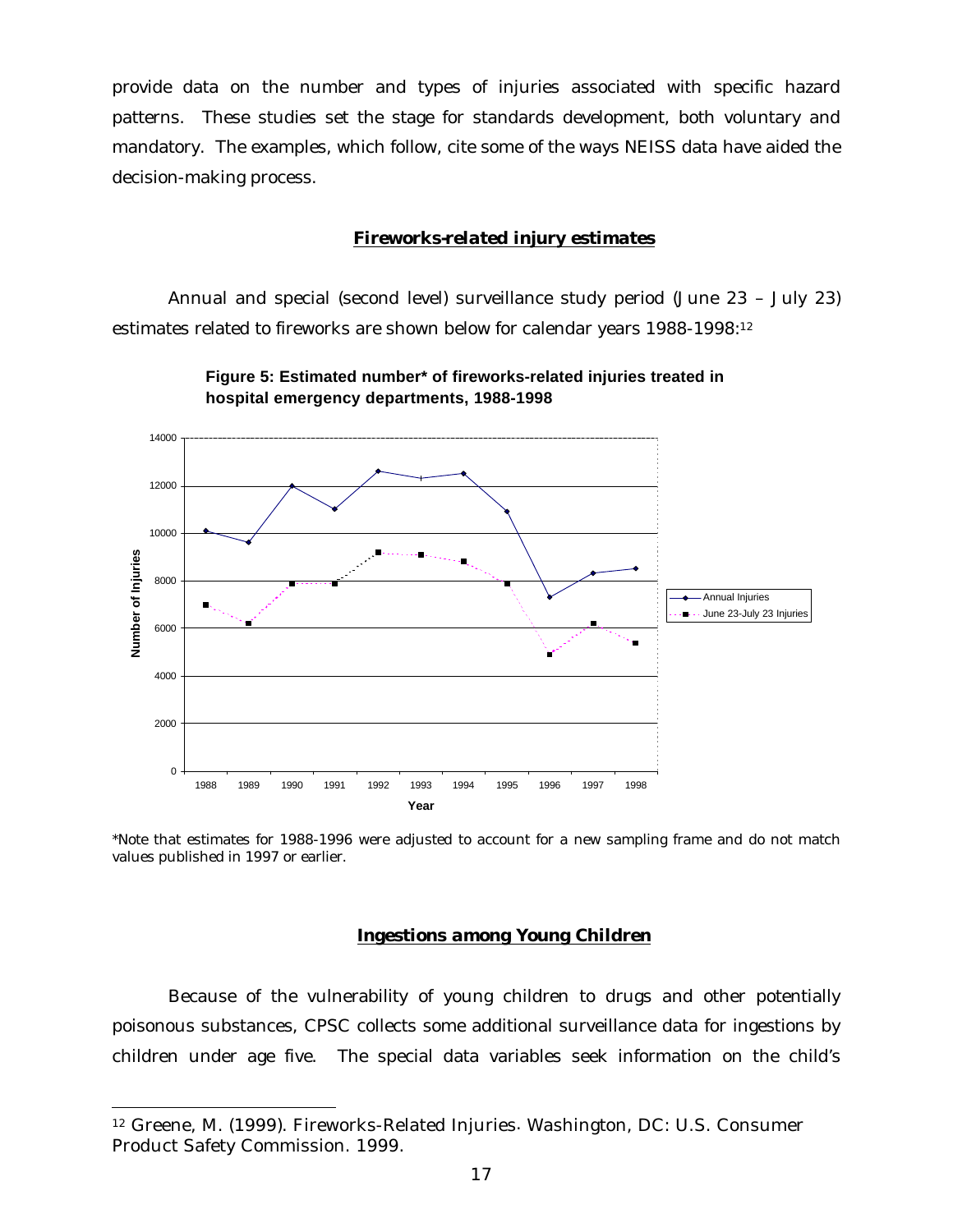provide data on the number and types of injuries associated with specific hazard patterns. These studies set the stage for standards development, both voluntary and mandatory. The examples, which follow, cite some of the ways NEISS data have aided the decision-making process.

#### *Fireworks-related injury estimates*

Annual and special (second level) surveillance study period (June 23 – July 23) estimates related to fireworks are shown below for calendar years 1988-1998:<sup>12</sup>





\*Note that estimates for 1988-1996 were adjusted to account for a new sampling frame and do not match values published in 1997 or earlier.

## *Ingestions among Young Children*

Because of the vulnerability of young children to drugs and other potentially poisonous substances, CPSC collects some additional surveillance data for ingestions by children under age five. The special data variables seek information on the child's

j

<sup>12</sup> Greene, M. (1999). Fireworks-Related Injuries*.* Washington, DC: U.S. Consumer Product Safety Commission. 1999.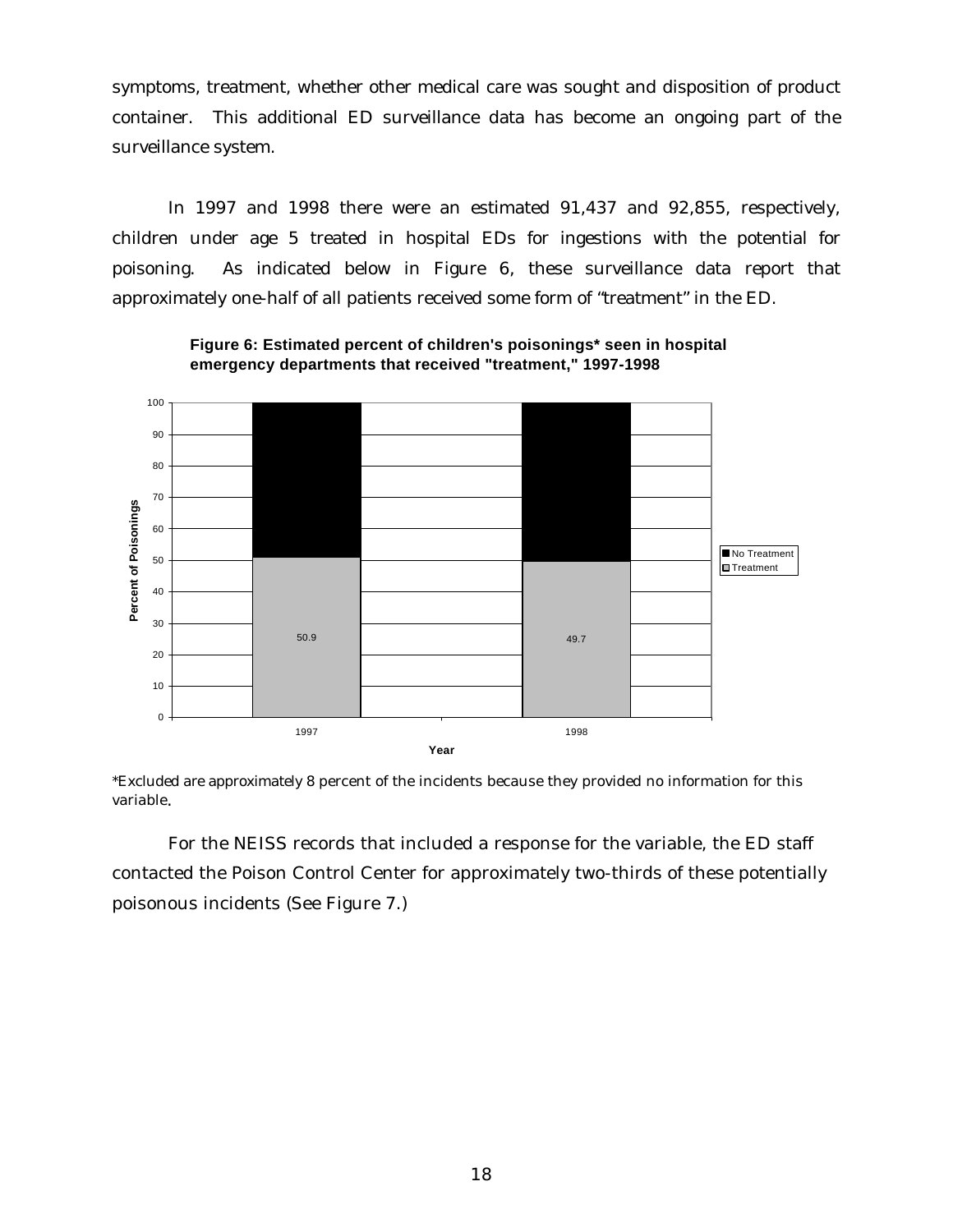symptoms, treatment, whether other medical care was sought and disposition of product container. This additional ED surveillance data has become an ongoing part of the surveillance system.

In 1997 and 1998 there were an estimated 91,437 and 92,855, respectively, children under age 5 treated in hospital EDs for ingestions with the potential for poisoning. As indicated below in Figure 6, these surveillance data report that approximately one-half of all patients received some form of "treatment" in the ED.



**Figure 6: Estimated percent of children's poisonings\* seen in hospital emergency departments that received "treatment," 1997-1998**

\*Excluded are approximately 8 percent of the incidents because they provided no information for this variable.

For the NEISS records that included a response for the variable, the ED staff contacted the Poison Control Center for approximately two-thirds of these potentially poisonous incidents (See Figure 7.)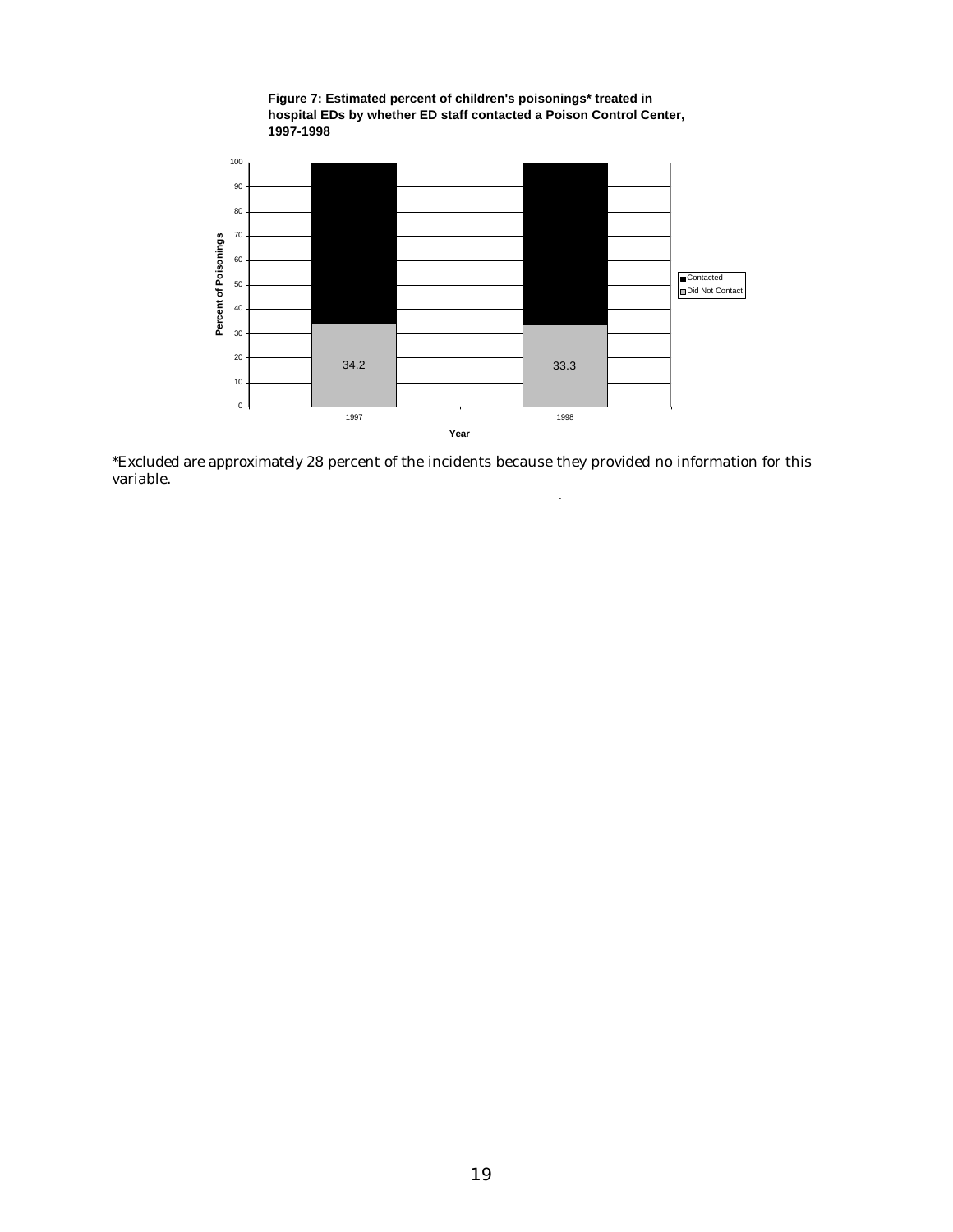

**Figure 7: Estimated percent of children's poisonings\* treated in** 

\*Excluded are approximately 28 percent of the incidents because they provided no information for this variable.

.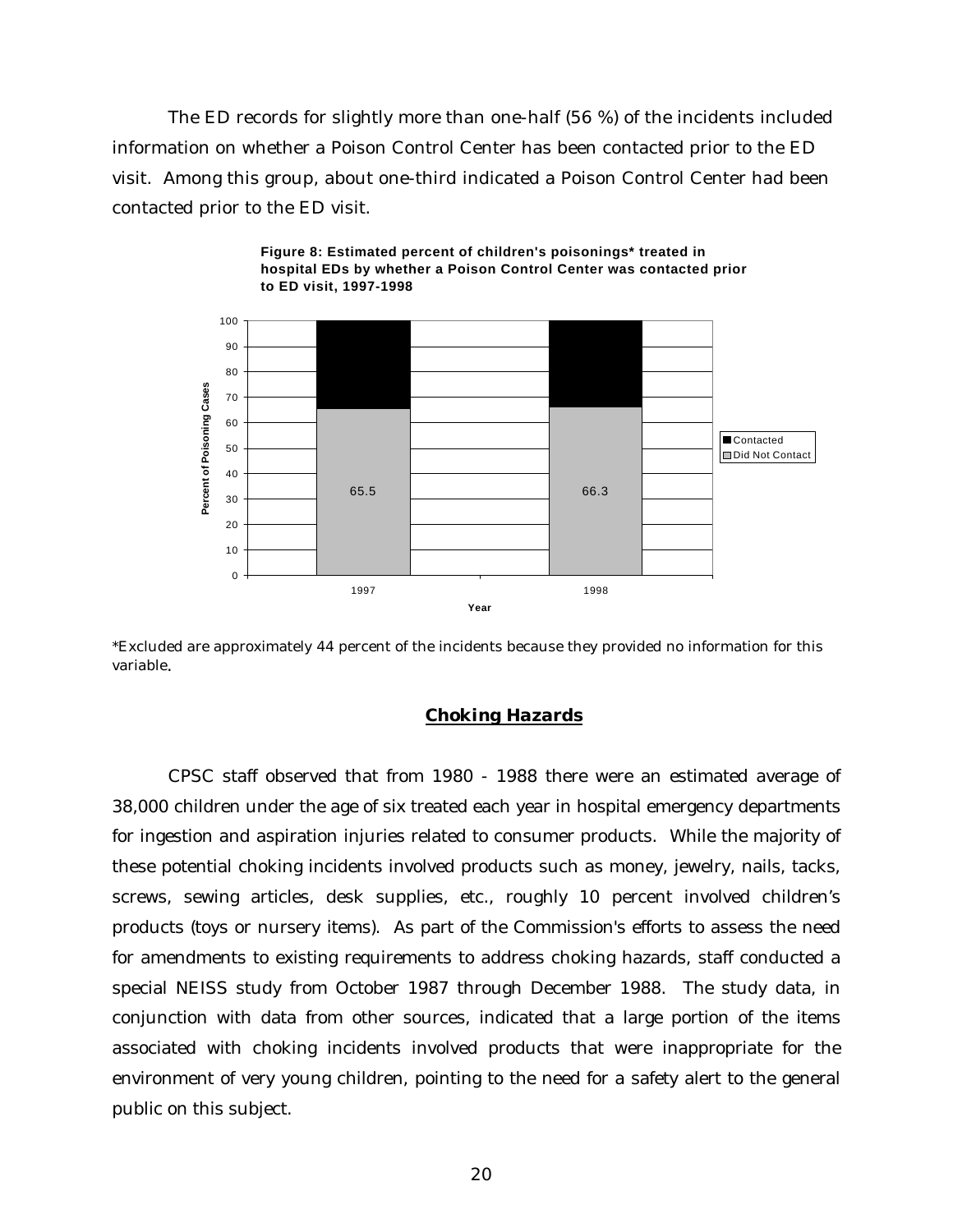The ED records for slightly more than one-half (56 %) of the incidents included information on whether a Poison Control Center has been contacted prior to the ED visit. Among this group, about one-third indicated a Poison Control Center had been contacted prior to the ED visit.





\*Excluded are approximately 44 percent of the incidents because they provided no information for this variable.

## *Choking Hazards*

CPSC staff observed that from 1980 - 1988 there were an estimated average of 38,000 children under the age of six treated each year in hospital emergency departments for ingestion and aspiration injuries related to consumer products. While the majority of these potential choking incidents involved products such as money, jewelry, nails, tacks, screws, sewing articles, desk supplies, etc., roughly 10 percent involved children's products (toys or nursery items). As part of the Commission's efforts to assess the need for amendments to existing requirements to address choking hazards, staff conducted a special NEISS study from October 1987 through December 1988. The study data, in conjunction with data from other sources, indicated that a large portion of the items associated with choking incidents involved products that were inappropriate for the environment of very young children, pointing to the need for a safety alert to the general public on this subject.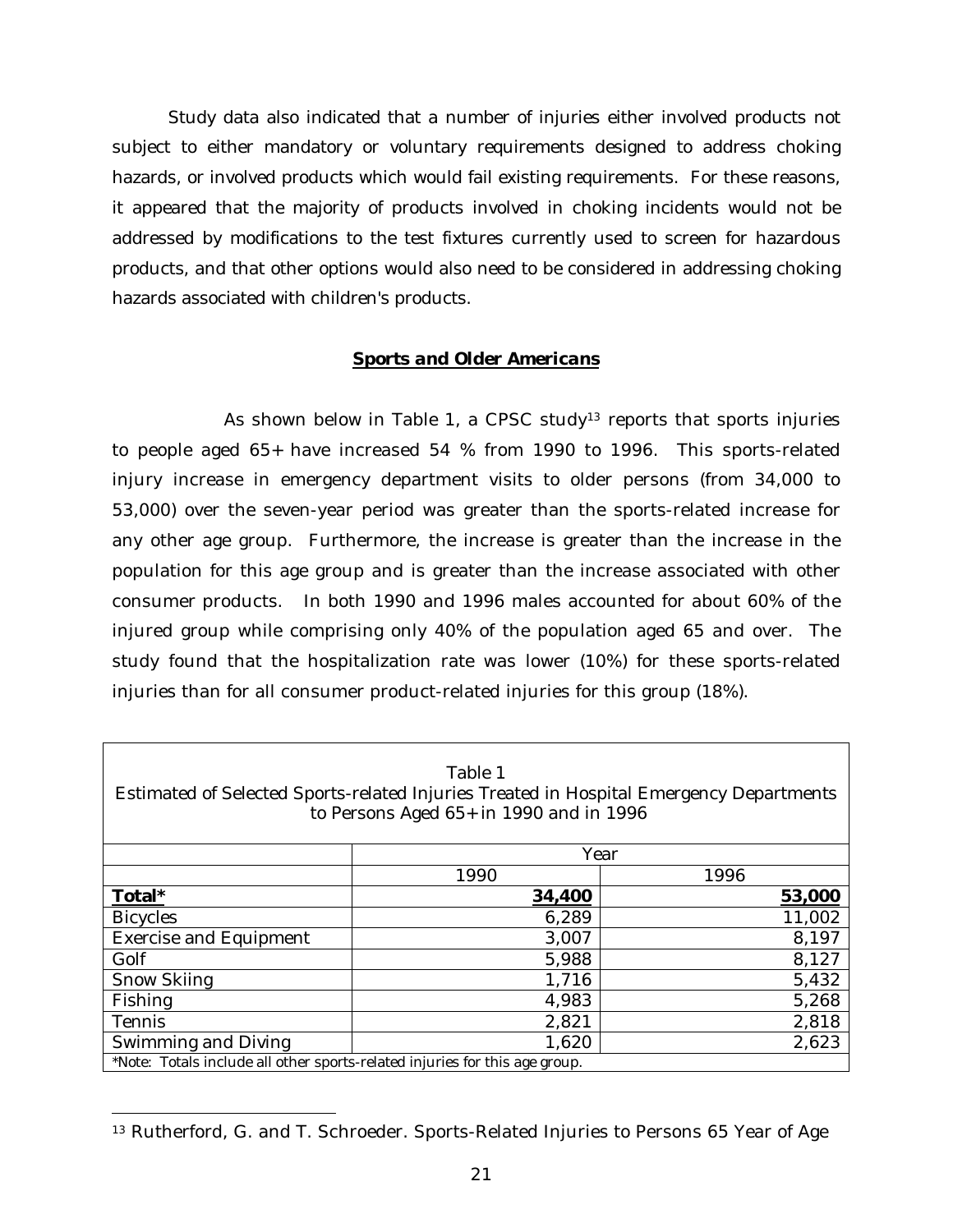Study data also indicated that a number of injuries either involved products not subject to either mandatory or voluntary requirements designed to address choking hazards, or involved products which would fail existing requirements. For these reasons, it appeared that the majority of products involved in choking incidents would not be addressed by modifications to the test fixtures currently used to screen for hazardous products, and that other options would also need to be considered in addressing choking hazards associated with children's products.

## *Sports and Older Americans*

As shown below in Table 1, a CPSC study<sup>13</sup> reports that sports injuries to people aged 65+ have increased 54 % from 1990 to 1996. This sports-related injury increase in emergency department visits to older persons (from 34,000 to 53,000) over the seven-year period was greater than the sports-related increase for any other age group. Furthermore, the increase is greater than the increase in the population for this age group and is greater than the increase associated with other consumer products. In both 1990 and 1996 males accounted for about 60% of the injured group while comprising only 40% of the population aged 65 and over. The study found that the hospitalization rate was lower (10%) for these sports-related injuries than for all consumer product-related injuries for this group (18%).

| Table 1<br>Estimated of Selected Sports-related Injuries Treated in Hospital Emergency Departments<br>to Persons Aged 65+ in 1990 and in 1996 |        |        |  |  |  |  |  |
|-----------------------------------------------------------------------------------------------------------------------------------------------|--------|--------|--|--|--|--|--|
|                                                                                                                                               | Year   |        |  |  |  |  |  |
|                                                                                                                                               | 1990   | 1996   |  |  |  |  |  |
| Total*                                                                                                                                        | 34,400 | 53,000 |  |  |  |  |  |
| <b>Bicycles</b>                                                                                                                               | 6,289  | 11,002 |  |  |  |  |  |
| <b>Exercise and Equipment</b>                                                                                                                 | 3,007  | 8,197  |  |  |  |  |  |
| Golf                                                                                                                                          | 5,988  | 8,127  |  |  |  |  |  |
| <b>Snow Skiing</b>                                                                                                                            | 1,716  | 5,432  |  |  |  |  |  |
| Fishing                                                                                                                                       | 4,983  | 5,268  |  |  |  |  |  |
| Tennis                                                                                                                                        | 2,821  | 2,818  |  |  |  |  |  |
| Swimming and Diving                                                                                                                           | 1,620  | 2,623  |  |  |  |  |  |
| *Note: Totals include all other sports-related injuries for this age group.                                                                   |        |        |  |  |  |  |  |

<sup>&</sup>lt;sup>13</sup> Rutherford, G. and T. Schroeder. Sports-Related Injuries to Persons 65 Year of Age

1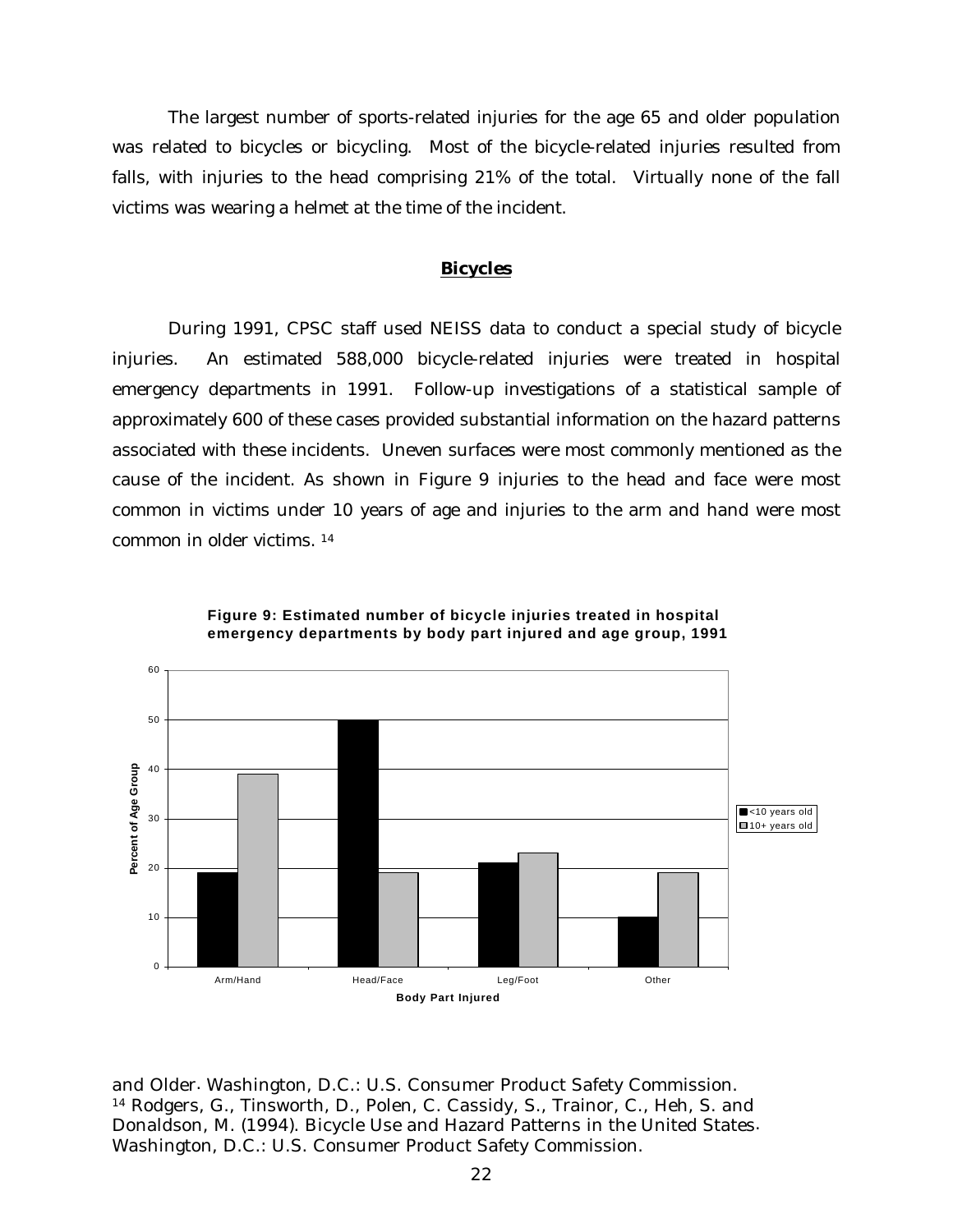The largest number of sports-related injuries for the age 65 and older population was related to bicycles or bicycling. Most of the bicycle-related injuries resulted from falls, with injuries to the head comprising 21% of the total. Virtually none of the fall victims was wearing a helmet at the time of the incident.

## *Bicycles*

During 1991, CPSC staff used NEISS data to conduct a special study of bicycle injuries. An estimated 588,000 bicycle-related injuries were treated in hospital emergency departments in 1991. Follow-up investigations of a statistical sample of approximately 600 of these cases provided substantial information on the hazard patterns associated with these incidents. Uneven surfaces were most commonly mentioned as the cause of the incident. As shown in Figure 9 injuries to the head and face were most common in victims under 10 years of age and injuries to the arm and hand were most common in older victims. <sup>14</sup>





and Older*.* Washington, D.C.: U.S. Consumer Product Safety Commission. <sup>14</sup> Rodgers, G., Tinsworth, D., Polen, C. Cassidy, S., Trainor, C., Heh, S. and Donaldson, M. (1994). Bicycle Use and Hazard Patterns in the United States*.* Washington, D.C.: U.S. Consumer Product Safety Commission.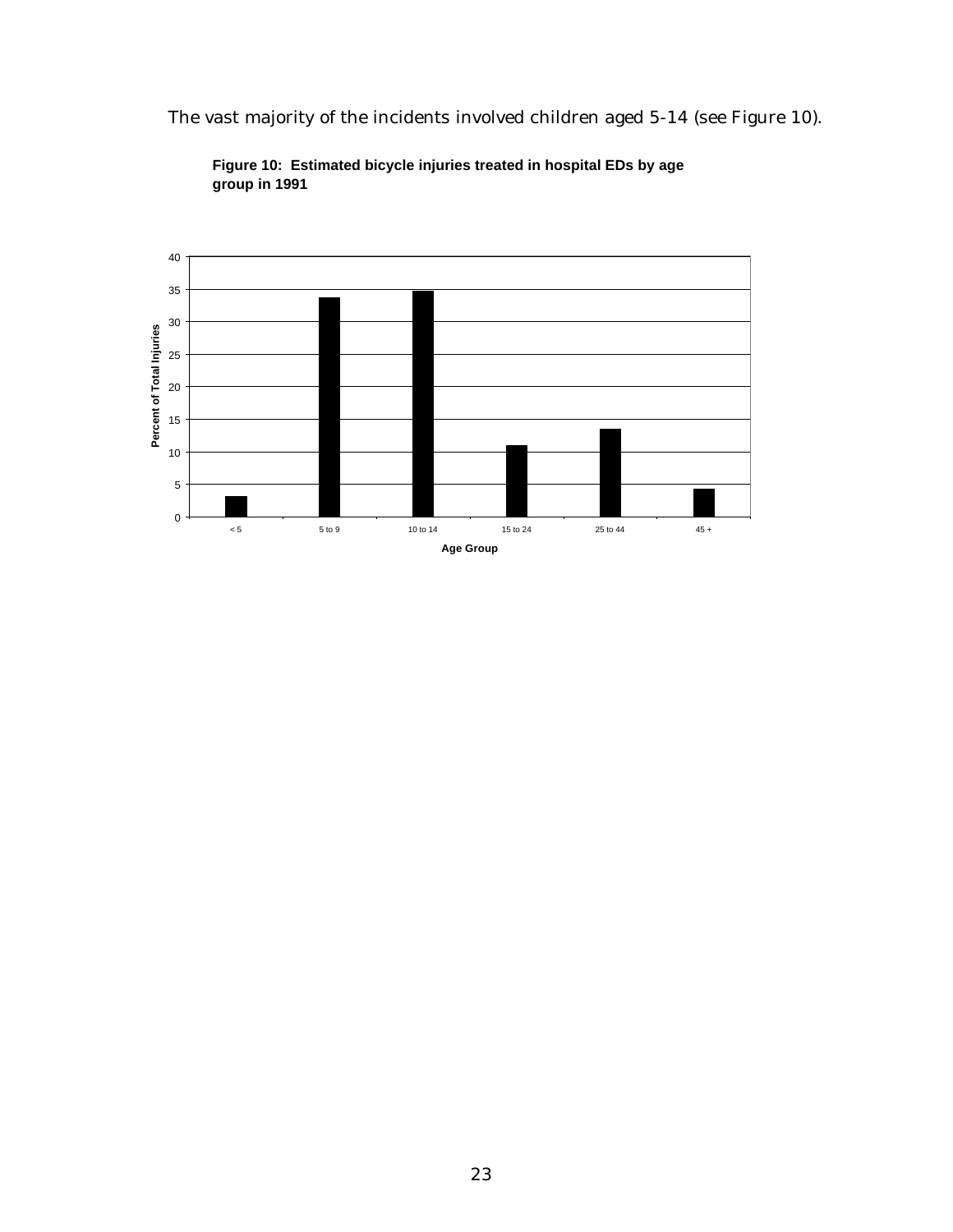The vast majority of the incidents involved children aged 5-14 (see Figure 10).



**Figure 10: Estimated bicycle injuries treated in hospital EDs by age group in 1991**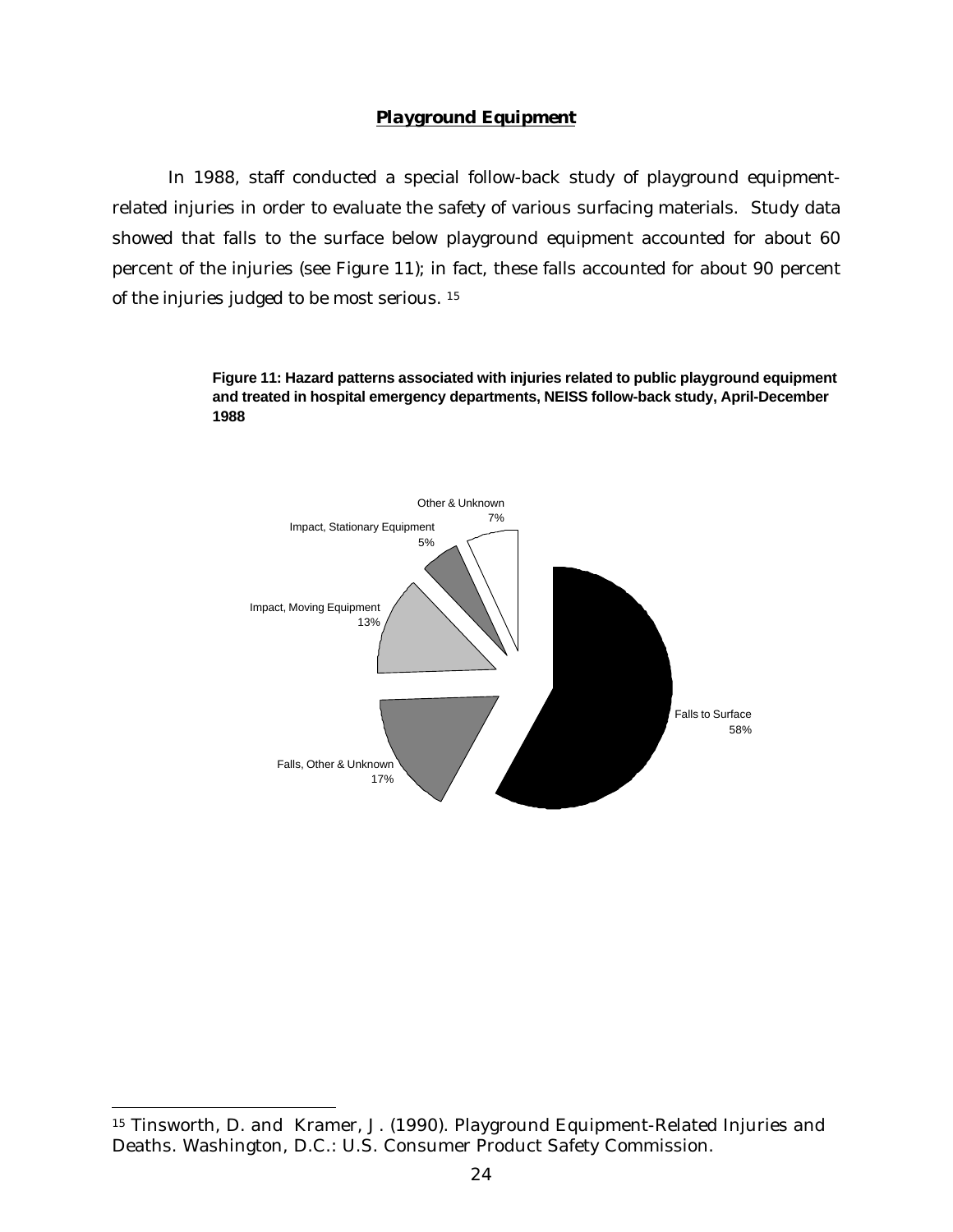## *Playground Equipment*

In 1988, staff conducted a special follow-back study of playground equipmentrelated injuries in order to evaluate the safety of various surfacing materials. Study data showed that falls to the surface below playground equipment accounted for about 60 percent of the injuries (see Figure 11); in fact, these falls accounted for about 90 percent of the injuries judged to be most serious. <sup>15</sup>

> **Figure 11: Hazard patterns associated with injuries related to public playground equipment and treated in hospital emergency departments, NEISS follow-back study, April-December 1988**



-

<sup>15</sup> Tinsworth, D. and Kramer, J. (1990). Playground Equipment-Related Injuries and Deaths. Washington, D.C.: U.S. Consumer Product Safety Commission.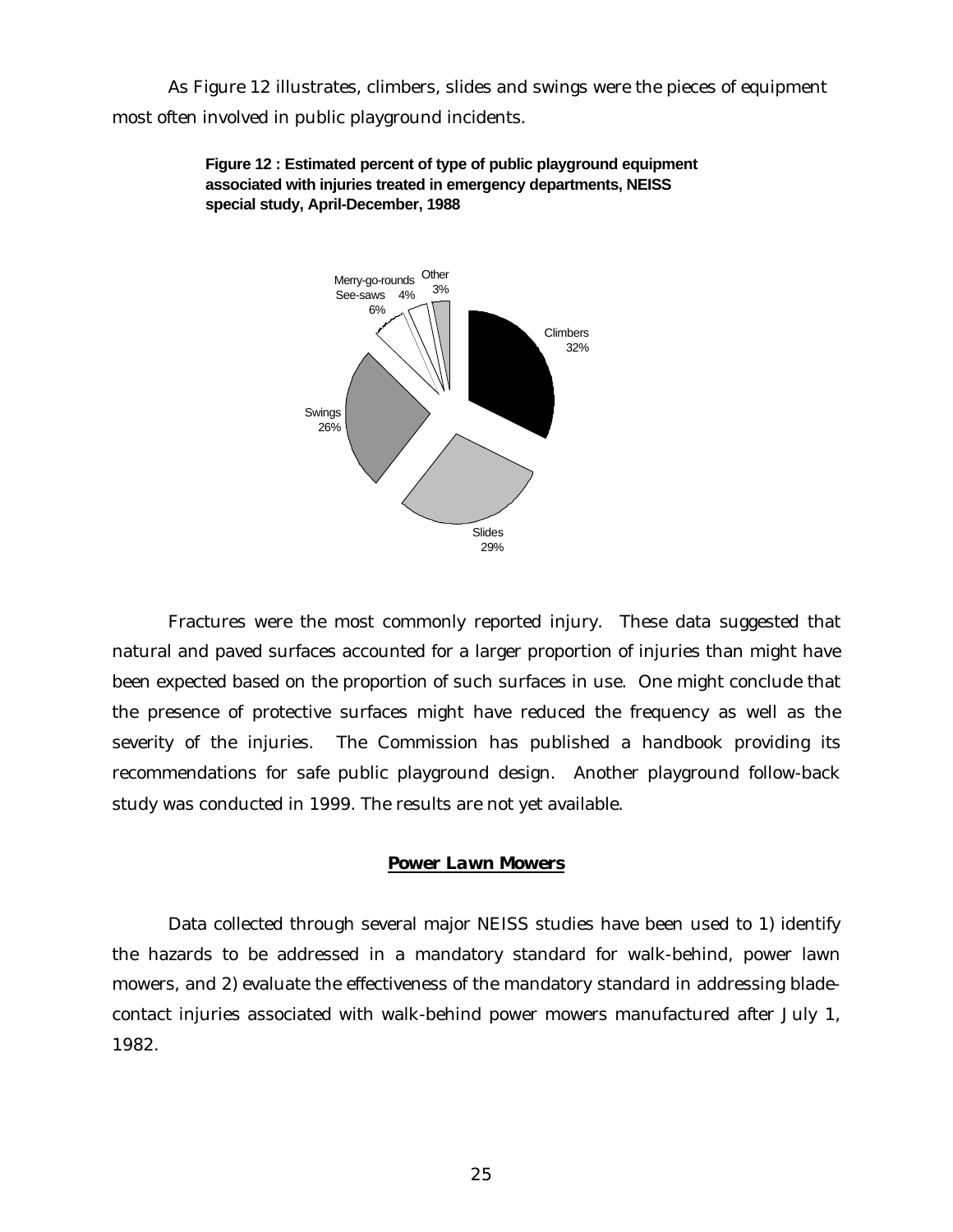As Figure 12 illustrates, climbers, slides and swings were the pieces of equipment most often involved in public playground incidents.



**Figure 12 : Estimated percent of type of public playground equipment associated with injuries treated in emergency departments, NEISS special study, April-December, 1988**

Fractures were the most commonly reported injury. These data suggested that natural and paved surfaces accounted for a larger proportion of injuries than might have been expected based on the proportion of such surfaces in use. One might conclude that the presence of protective surfaces might have reduced the frequency as well as the severity of the injuries. The Commission has published a handbook providing its recommendations for safe public playground design. Another playground follow-back study was conducted in 1999. The results are not yet available.

## *Power Lawn Mowers*

Data collected through several major NEISS studies have been used to 1) identify the hazards to be addressed in a mandatory standard for walk-behind, power lawn mowers, and 2) evaluate the effectiveness of the mandatory standard in addressing bladecontact injuries associated with walk-behind power mowers manufactured after July 1, 1982.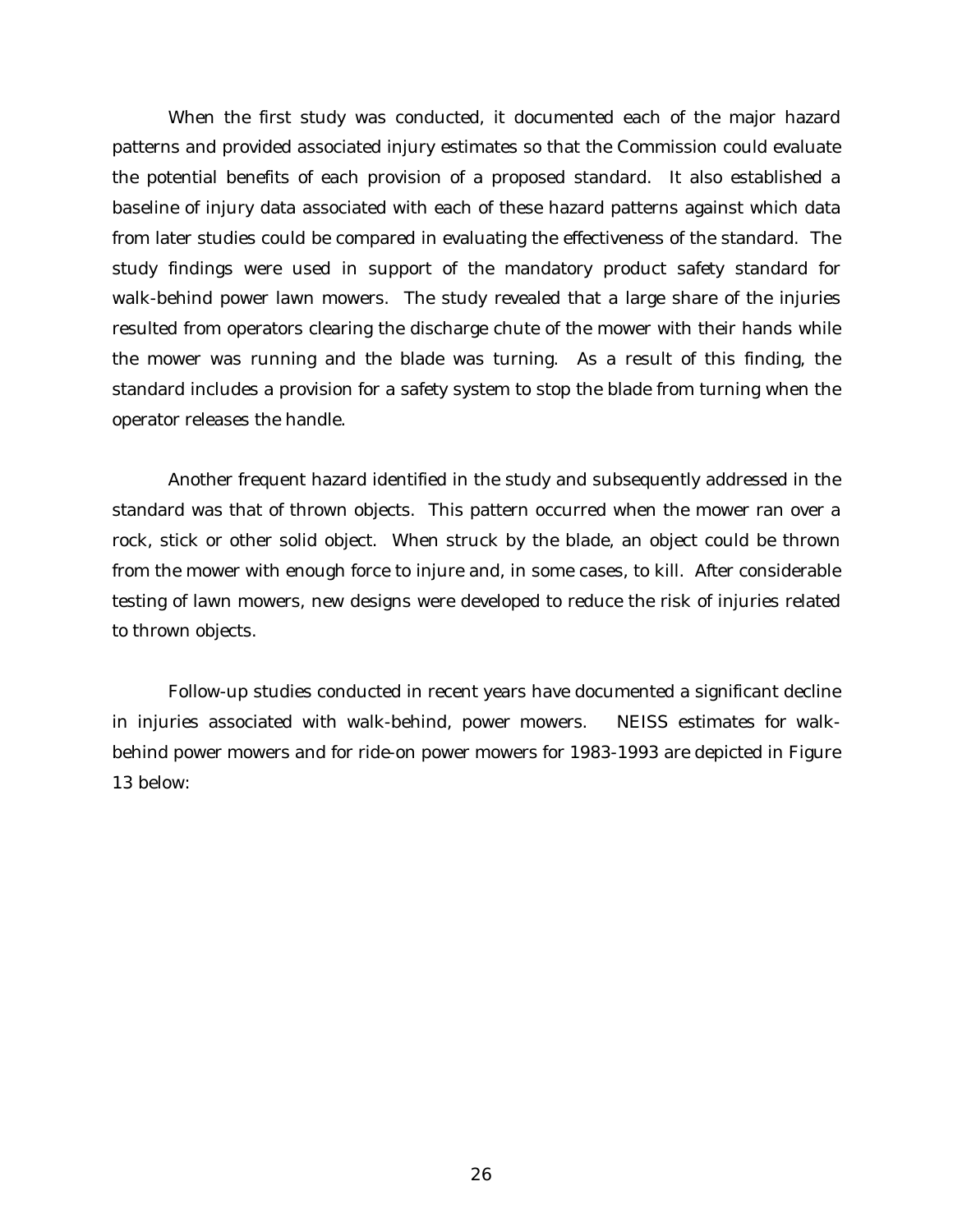When the first study was conducted, it documented each of the major hazard patterns and provided associated injury estimates so that the Commission could evaluate the potential benefits of each provision of a proposed standard. It also established a baseline of injury data associated with each of these hazard patterns against which data from later studies could be compared in evaluating the effectiveness of the standard. The study findings were used in support of the mandatory product safety standard for walk-behind power lawn mowers. The study revealed that a large share of the injuries resulted from operators clearing the discharge chute of the mower with their hands while the mower was running and the blade was turning. As a result of this finding, the standard includes a provision for a safety system to stop the blade from turning when the operator releases the handle.

Another frequent hazard identified in the study and subsequently addressed in the standard was that of thrown objects. This pattern occurred when the mower ran over a rock, stick or other solid object. When struck by the blade, an object could be thrown from the mower with enough force to injure and, in some cases, to kill. After considerable testing of lawn mowers, new designs were developed to reduce the risk of injuries related to thrown objects.

Follow-up studies conducted in recent years have documented a significant decline in injuries associated with walk-behind, power mowers. NEISS estimates for walkbehind power mowers and for ride-on power mowers for 1983-1993 are depicted in Figure 13 below: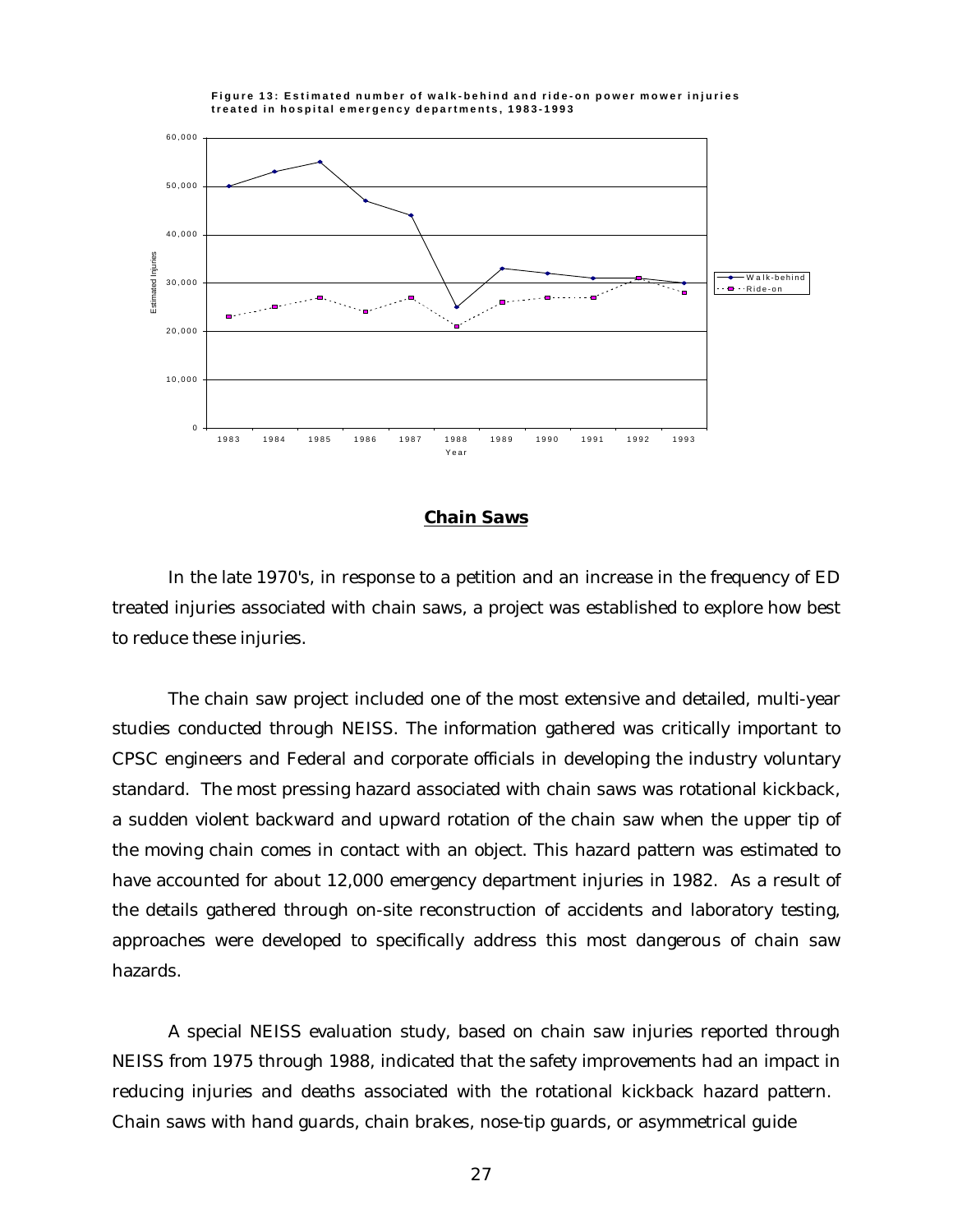

#### **Figure 13: Estimated number of walk-behind and ride-on power mower injuries treated in hospital emergency departments, 1983-1993**

## *Chain Saws*

In the late 1970's, in response to a petition and an increase in the frequency of ED treated injuries associated with chain saws, a project was established to explore how best to reduce these injuries.

The chain saw project included one of the most extensive and detailed, multi-year studies conducted through NEISS. The information gathered was critically important to CPSC engineers and Federal and corporate officials in developing the industry voluntary standard. The most pressing hazard associated with chain saws was rotational kickback, a sudden violent backward and upward rotation of the chain saw when the upper tip of the moving chain comes in contact with an object. This hazard pattern was estimated to have accounted for about 12,000 emergency department injuries in 1982. As a result of the details gathered through on-site reconstruction of accidents and laboratory testing, approaches were developed to specifically address this most dangerous of chain saw hazards.

A special NEISS evaluation study, based on chain saw injuries reported through NEISS from 1975 through 1988, indicated that the safety improvements had an impact in reducing injuries and deaths associated with the rotational kickback hazard pattern. Chain saws with hand guards, chain brakes, nose-tip guards, or asymmetrical guide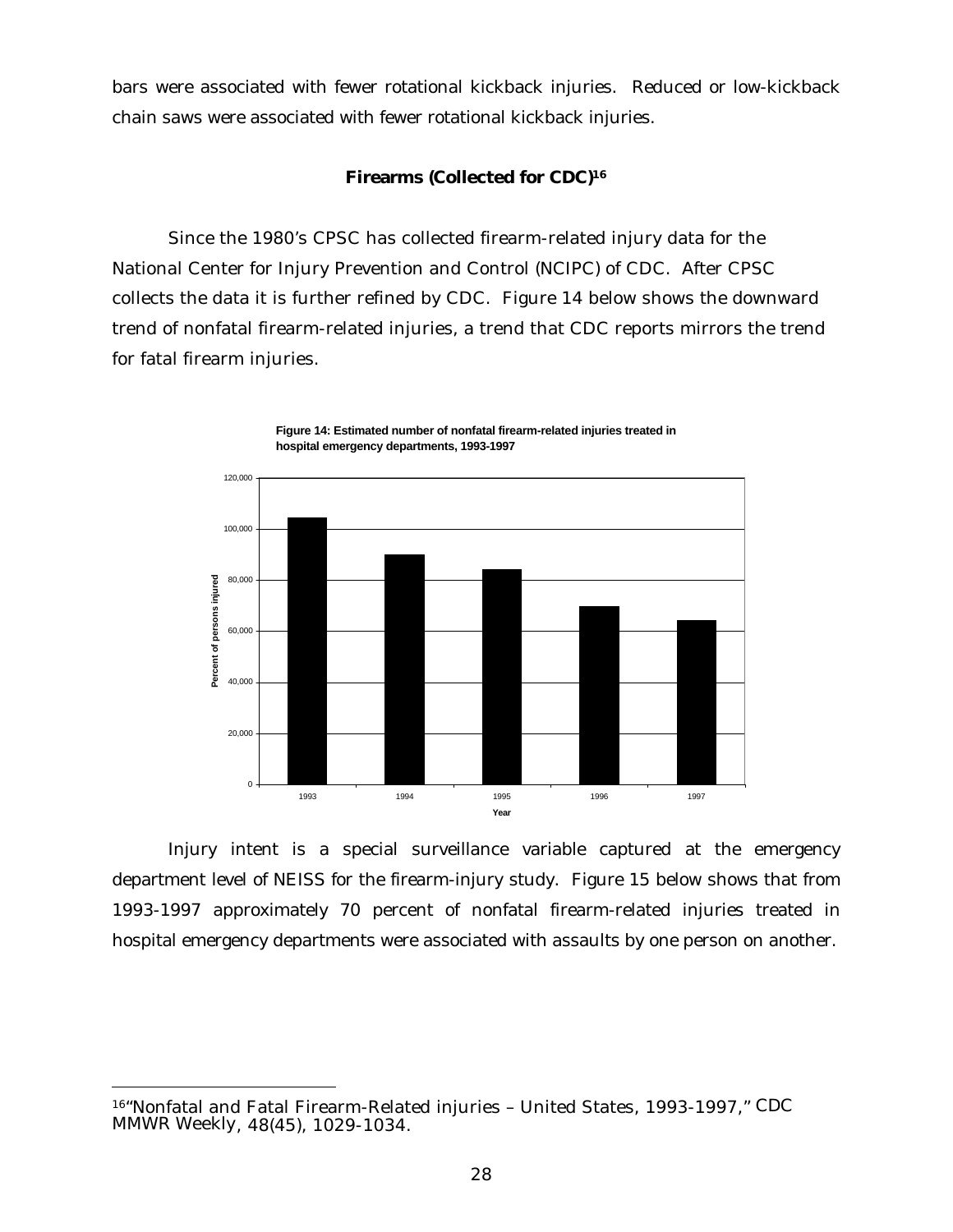bars were associated with fewer rotational kickback injuries. Reduced or low-kickback chain saws were associated with fewer rotational kickback injuries.

## **Firearms (Collected for CDC)<sup>16</sup>**

Since the 1980's CPSC has collected firearm-related injury data for the National Center for Injury Prevention and Control (NCIPC) of CDC. After CPSC collects the data it is further refined by CDC. Figure 14 below shows the downward trend of nonfatal firearm-related injuries, a trend that CDC reports mirrors the trend for fatal firearm injuries.



**Figure 14: Estimated number of nonfatal firearm-related injuries treated in hospital emergency departments, 1993-1997**

Injury intent is a special surveillance variable captured at the emergency department level of NEISS for the firearm-injury study. Figure 15 below shows that from 1993-1997 approximately 70 percent of nonfatal firearm-related injuries treated in hospital emergency departments were associated with assaults by one person on another.

<sup>16</sup>"Nonfatal and Fatal Firearm-Related injuries – United States, 1993-1997," *CDC MMWR Weekly*, 48(45), 1029-1034.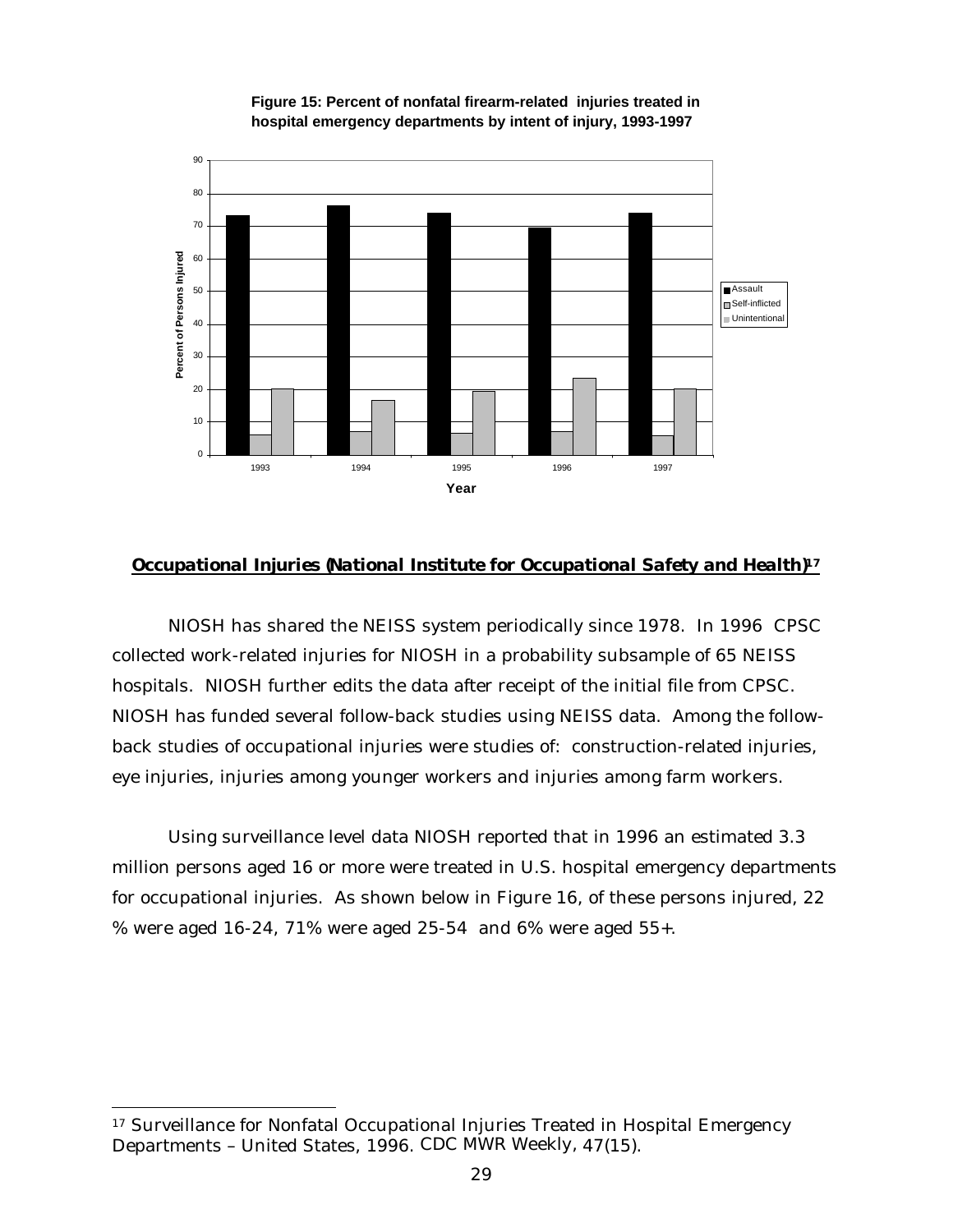

**Figure 15: Percent of nonfatal firearm-related injuries treated in hospital emergency departments by intent of injury, 1993-1997**

## *Occupational Injuries (National Institute for Occupational Safety and Health)<sup>17</sup>*

NIOSH has shared the NEISS system periodically since 1978. In 1996 CPSC collected work-related injuries for NIOSH in a probability subsample of 65 NEISS hospitals. NIOSH further edits the data after receipt of the initial file from CPSC. NIOSH has funded several follow-back studies using NEISS data. Among the followback studies of occupational injuries were studies of: construction-related injuries, eye injuries, injuries among younger workers and injuries among farm workers.

Using surveillance level data NIOSH reported that in 1996 an estimated 3.3 million persons aged 16 or more were treated in U.S. hospital emergency departments for occupational injuries. As shown below in Figure 16, of these persons injured, 22 % were aged 16-24, 71% were aged 25-54 and 6% were aged 55+.

j

<sup>&</sup>lt;sup>17</sup> Surveillance for Nonfatal Occupational Injuries Treated in Hospital Emergency Departments – United States, 1996. *CDC MWR Weekly,* 47(15).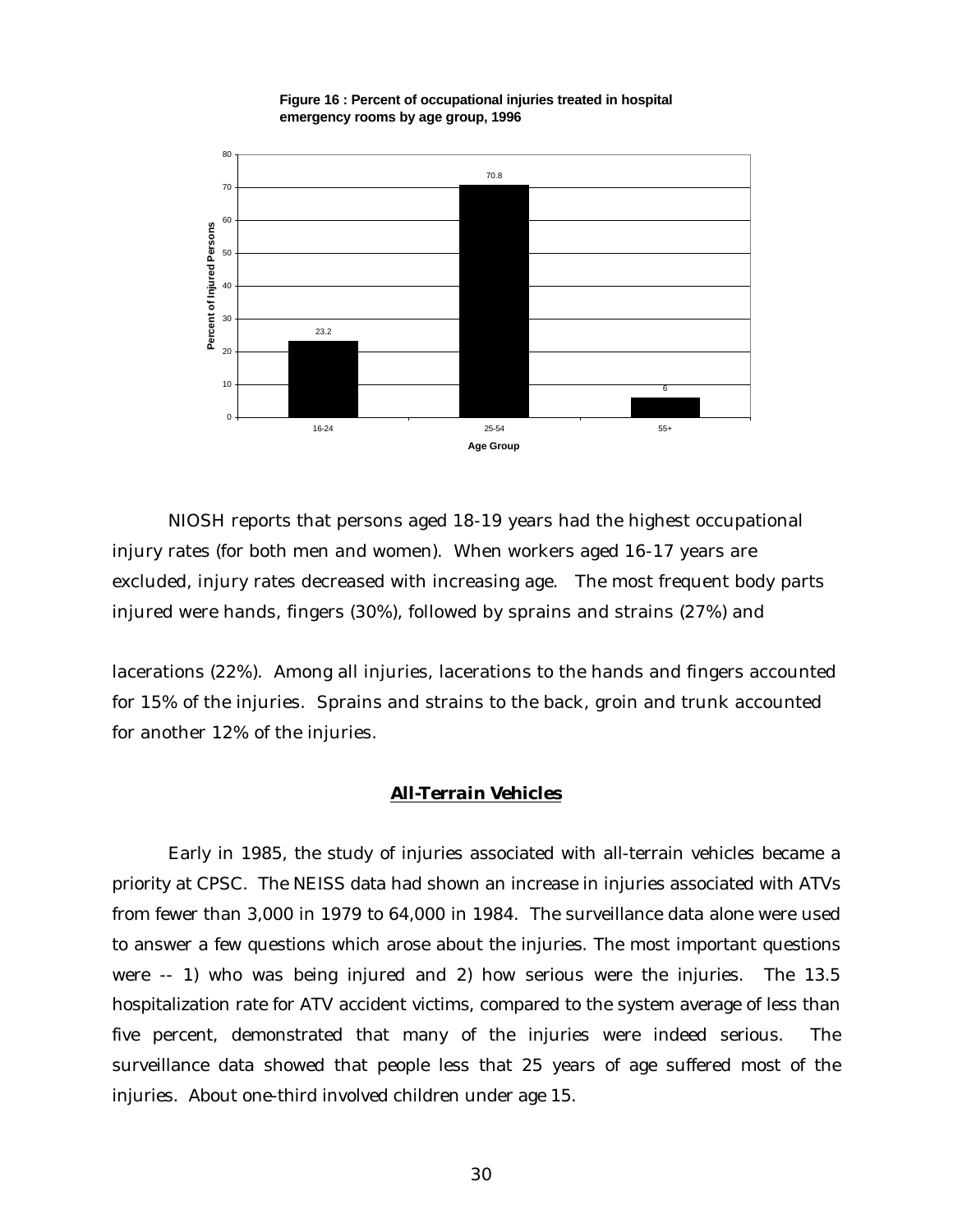

**Figure 16 : Percent of occupational injuries treated in hospital emergency rooms by age group, 1996**

NIOSH reports that persons aged 18-19 years had the highest occupational injury rates (for both men and women). When workers aged 16-17 years are excluded, injury rates decreased with increasing age. The most frequent body parts injured were hands, fingers (30%), followed by sprains and strains (27%) and

lacerations (22%). Among all injuries, lacerations to the hands and fingers accounted for 15% of the injuries. Sprains and strains to the back, groin and trunk accounted for another 12% of the injuries.

#### *All-Terrain Vehicles*

Early in 1985, the study of injuries associated with all-terrain vehicles became a priority at CPSC. The NEISS data had shown an increase in injuries associated with ATVs from fewer than 3,000 in 1979 to 64,000 in 1984. The surveillance data alone were used to answer a few questions which arose about the injuries. The most important questions were -- 1) who was being injured and 2) how serious were the injuries. The 13.5 hospitalization rate for ATV accident victims, compared to the system average of less than five percent, demonstrated that many of the injuries were indeed serious. The surveillance data showed that people less that 25 years of age suffered most of the injuries. About one-third involved children under age 15.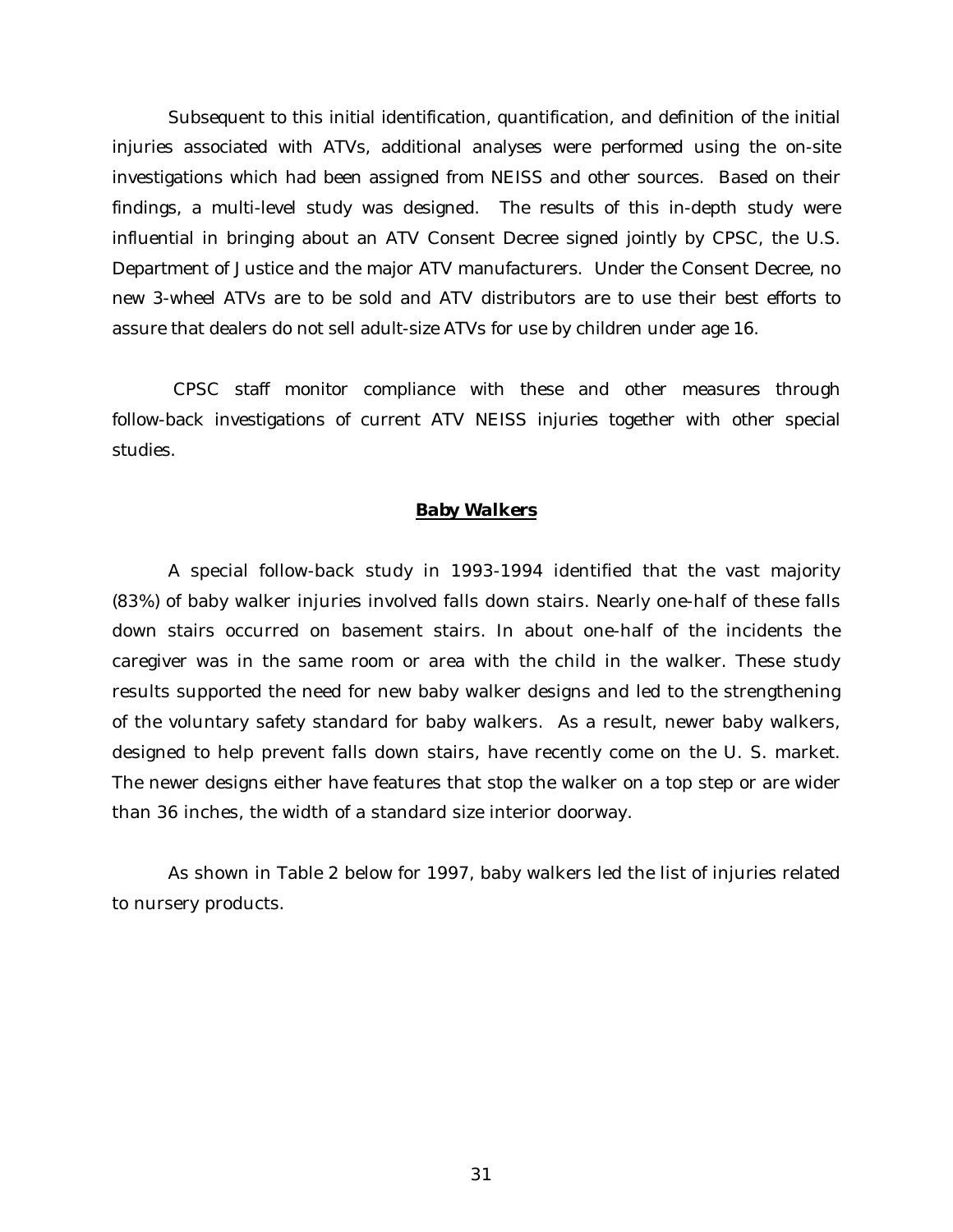Subsequent to this initial identification, quantification, and definition of the initial injuries associated with ATVs, additional analyses were performed using the on-site investigations which had been assigned from NEISS and other sources. Based on their findings, a multi-level study was designed. The results of this in-depth study were influential in bringing about an ATV Consent Decree signed jointly by CPSC, the U.S. Department of Justice and the major ATV manufacturers. Under the Consent Decree, no new 3-wheel ATVs are to be sold and ATV distributors are to use their best efforts to assure that dealers do not sell adult-size ATVs for use by children under age 16.

 CPSC staff monitor compliance with these and other measures through follow-back investigations of current ATV NEISS injuries together with other special studies.

### *Baby Walkers*

A special follow-back study in 1993-1994 identified that the vast majority (83%) of baby walker injuries involved falls down stairs. Nearly one-half of these falls down stairs occurred on basement stairs. In about one-half of the incidents the caregiver was in the same room or area with the child in the walker. These study results supported the need for new baby walker designs and led to the strengthening of the voluntary safety standard for baby walkers. As a result, newer baby walkers, designed to help prevent falls down stairs, have recently come on the U. S. market. The newer designs either have features that stop the walker on a top step or are wider than 36 inches, the width of a standard size interior doorway.

As shown in Table 2 below for 1997, baby walkers led the list of injuries related to nursery products.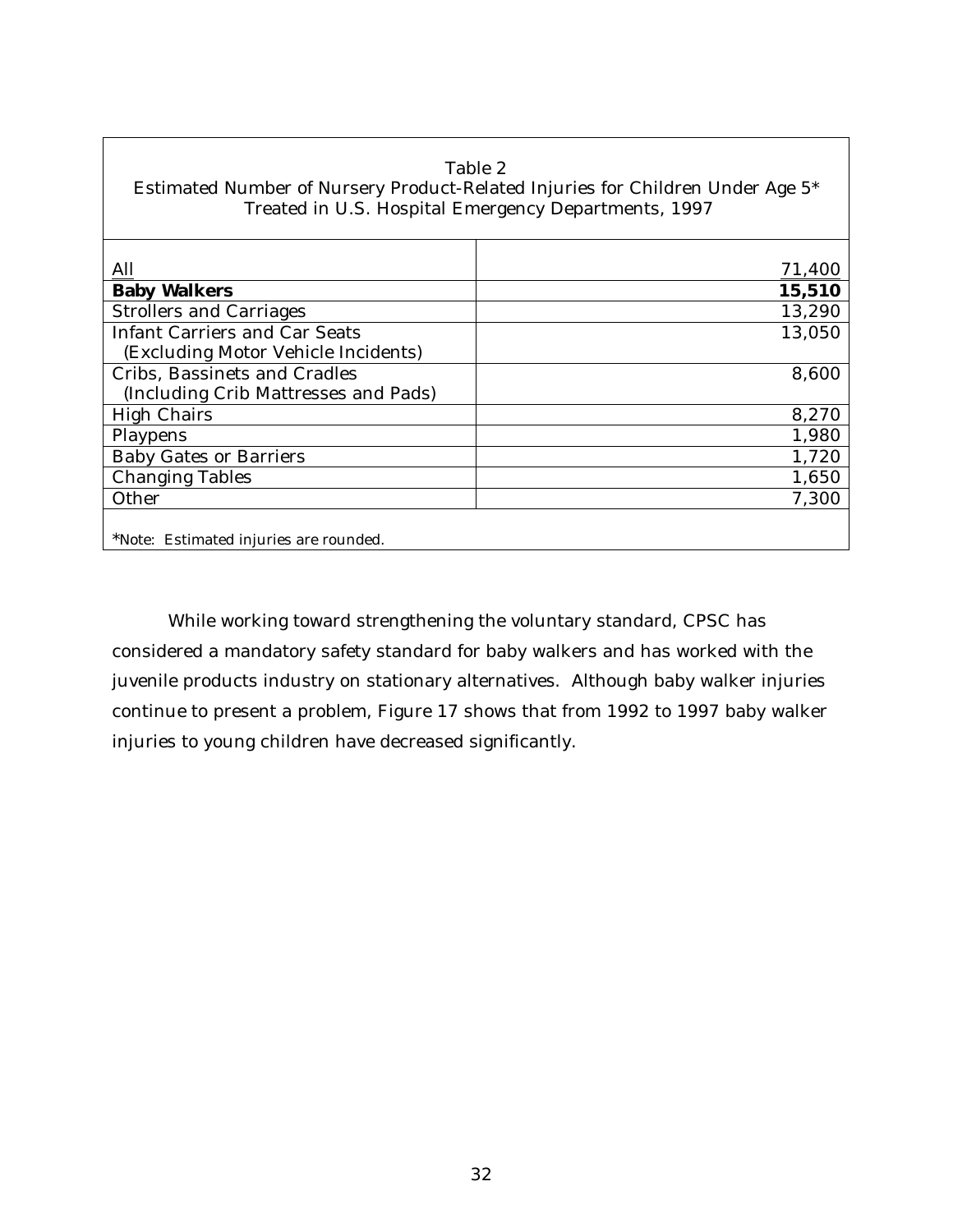| Table 2<br>Estimated Number of Nursery Product-Related Injuries for Children Under Age 5*<br>Treated in U.S. Hospital Emergency Departments, 1997 |        |  |  |  |
|---------------------------------------------------------------------------------------------------------------------------------------------------|--------|--|--|--|
| All                                                                                                                                               | 71,400 |  |  |  |
| <b>Baby Walkers</b>                                                                                                                               | 15,510 |  |  |  |
| <b>Strollers and Carriages</b>                                                                                                                    | 13,290 |  |  |  |
| <b>Infant Carriers and Car Seats</b>                                                                                                              | 13,050 |  |  |  |
| (Excluding Motor Vehicle Incidents)                                                                                                               |        |  |  |  |
| Cribs, Bassinets and Cradles                                                                                                                      | 8,600  |  |  |  |
| (Including Crib Mattresses and Pads)                                                                                                              |        |  |  |  |
| <b>High Chairs</b>                                                                                                                                | 8,270  |  |  |  |
| Playpens                                                                                                                                          | 1,980  |  |  |  |
| <b>Baby Gates or Barriers</b>                                                                                                                     | 1,720  |  |  |  |
| <b>Changing Tables</b>                                                                                                                            | 1,650  |  |  |  |
| Other                                                                                                                                             | 7,300  |  |  |  |
| *Note: Estimated injuries are rounded.                                                                                                            |        |  |  |  |

┑

While working toward strengthening the voluntary standard, CPSC has considered a mandatory safety standard for baby walkers and has worked with the juvenile products industry on stationary alternatives. Although baby walker injuries continue to present a problem, Figure 17 shows that from 1992 to 1997 baby walker injuries to young children have decreased significantly.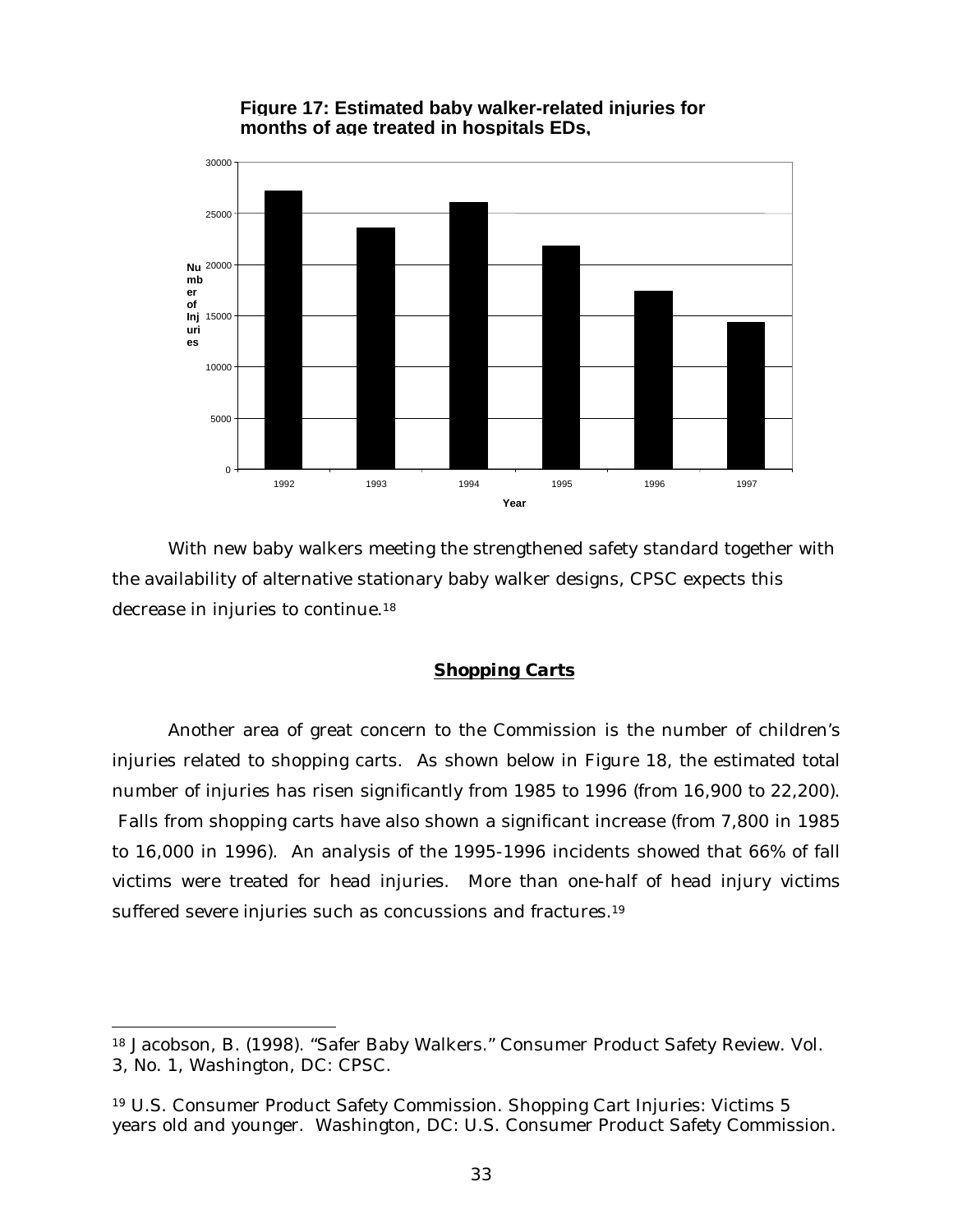



With new baby walkers meeting the strengthened safety standard together with the availability of alternative stationary baby walker designs, CPSC expects this decrease in injuries to continue.<sup>18</sup>

## *Shopping Carts*

Another area of great concern to the Commission is the number of children's injuries related to shopping carts. As shown below in Figure 18, the estimated total number of injuries has risen significantly from 1985 to 1996 (from 16,900 to 22,200). Falls from shopping carts have also shown a significant increase (from 7,800 in 1985 to 16,000 in 1996). An analysis of the 1995-1996 incidents showed that 66% of fall victims were treated for head injuries. More than one-half of head injury victims suffered severe injuries such as concussions and fractures.<sup>19</sup>

1

<sup>18</sup> Jacobson, B. (1998). "Safer Baby Walkers." Consumer Product Safety Review. Vol. 3, No. 1, Washington, DC: CPSC.

<sup>19</sup> U.S. Consumer Product Safety Commission. Shopping Cart Injuries: Victims 5 years old and younger. Washington, DC: U.S. Consumer Product Safety Commission.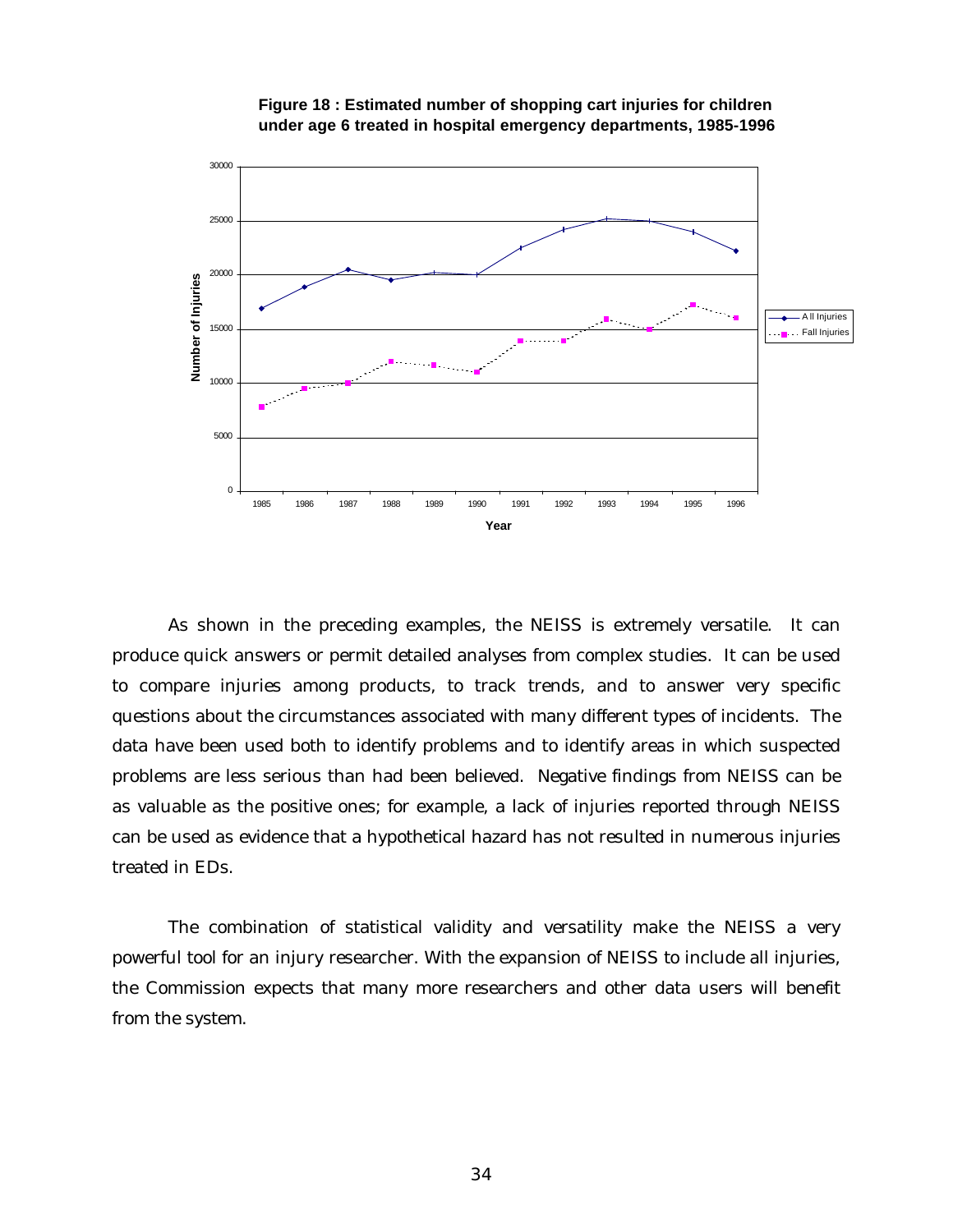



As shown in the preceding examples, the NEISS is extremely versatile. It can produce quick answers or permit detailed analyses from complex studies. It can be used to compare injuries among products, to track trends, and to answer very specific questions about the circumstances associated with many different types of incidents. The data have been used both to identify problems and to identify areas in which suspected problems are less serious than had been believed. Negative findings from NEISS can be as valuable as the positive ones; for example, a lack of injuries reported through NEISS can be used as evidence that a hypothetical hazard has not resulted in numerous injuries treated in EDs.

The combination of statistical validity and versatility make the NEISS a very powerful tool for an injury researcher. With the expansion of NEISS to include all injuries, the Commission expects that many more researchers and other data users will benefit from the system.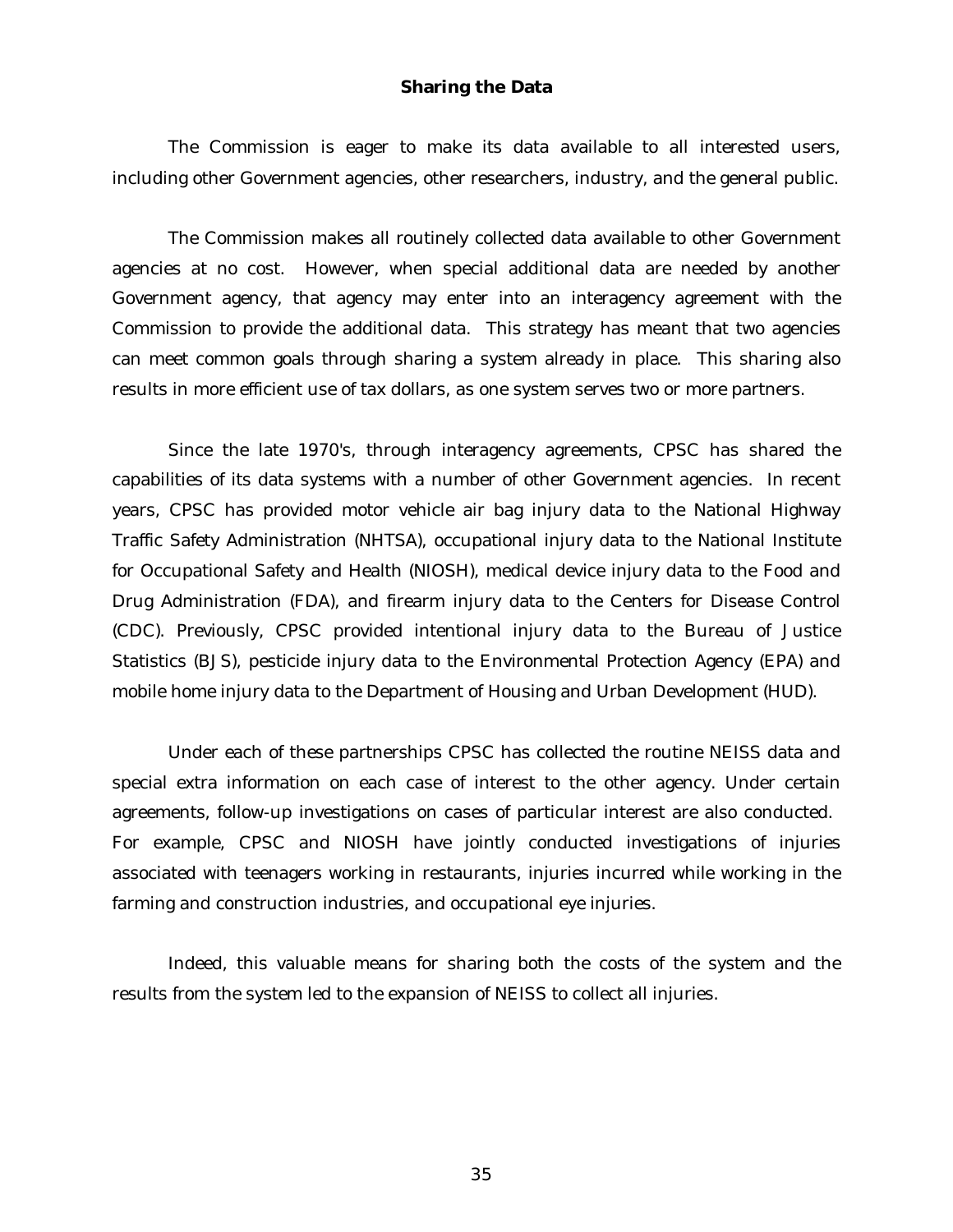## **Sharing the Data**

The Commission is eager to make its data available to all interested users, including other Government agencies, other researchers, industry, and the general public.

The Commission makes all routinely collected data available to other Government agencies at no cost. However, when special additional data are needed by another Government agency, that agency may enter into an interagency agreement with the Commission to provide the additional data. This strategy has meant that two agencies can meet common goals through sharing a system already in place. This sharing also results in more efficient use of tax dollars, as one system serves two or more partners.

Since the late 1970's, through interagency agreements, CPSC has shared the capabilities of its data systems with a number of other Government agencies. In recent years, CPSC has provided motor vehicle air bag injury data to the National Highway Traffic Safety Administration (NHTSA), occupational injury data to the National Institute for Occupational Safety and Health (NIOSH), medical device injury data to the Food and Drug Administration (FDA), and firearm injury data to the Centers for Disease Control (CDC). Previously, CPSC provided intentional injury data to the Bureau of Justice Statistics (BJS), pesticide injury data to the Environmental Protection Agency (EPA) and mobile home injury data to the Department of Housing and Urban Development (HUD).

Under each of these partnerships CPSC has collected the routine NEISS data and special extra information on each case of interest to the other agency. Under certain agreements, follow-up investigations on cases of particular interest are also conducted. For example, CPSC and NIOSH have jointly conducted investigations of injuries associated with teenagers working in restaurants, injuries incurred while working in the farming and construction industries, and occupational eye injuries.

Indeed, this valuable means for sharing both the costs of the system and the results from the system led to the expansion of NEISS to collect all injuries.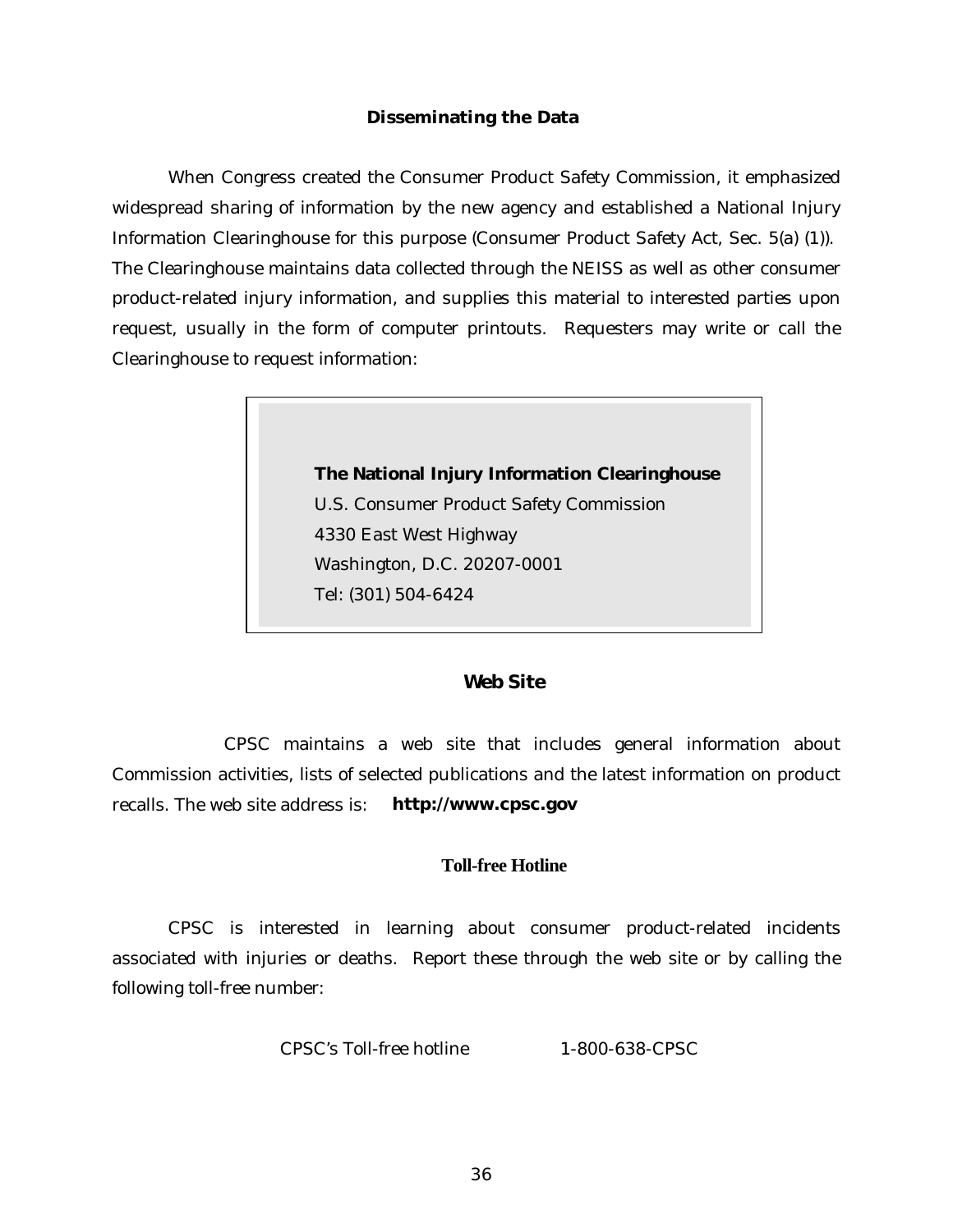#### **Disseminating the Data**

When Congress created the Consumer Product Safety Commission, it emphasized widespread sharing of information by the new agency and established a National Injury Information Clearinghouse for this purpose (Consumer Product Safety Act, Sec. 5(a) (1)). The Clearinghouse maintains data collected through the NEISS as well as other consumer product-related injury information, and supplies this material to interested parties upon request, usually in the form of computer printouts. Requesters may write or call the Clearinghouse to request information:



## **Web Site**

CPSC maintains a web site that includes general information about Commission activities, lists of selected publications and the latest information on product recalls. The web site address is: *http://www.cpsc.gov*

## **Toll-free Hotline**

CPSC is interested in learning about consumer product-related incidents associated with injuries or deaths. Report these through the web site or by calling the following toll-free number:

CPSC's Toll-free hotline 1-800-638-CPSC